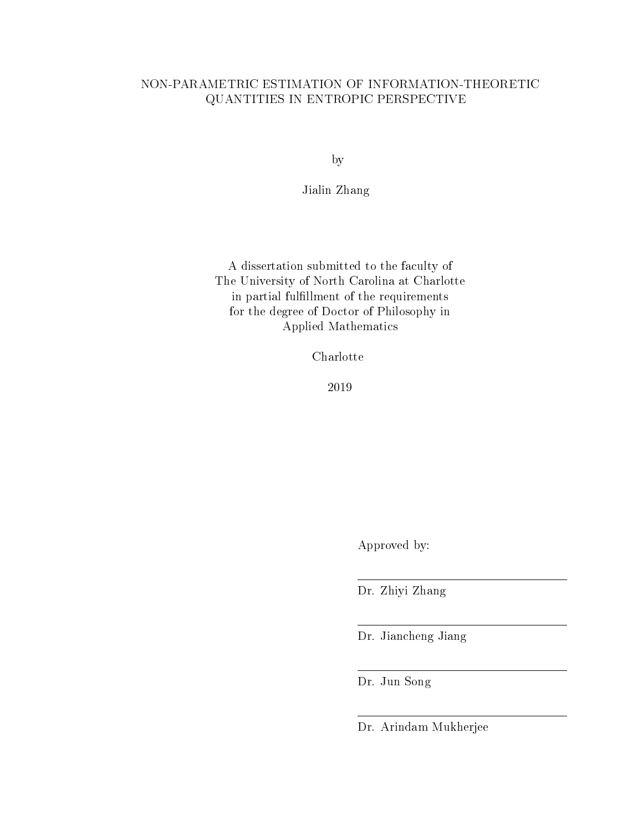### NON-PARAMETRIC ESTIMATION OF INFORMATION-THEORETIC QUANTITIES IN ENTROPIC PERSPECTIVE

by

Jialin Zhang

A dissertation submitted to the faculty of The University of North Carolina at Charlotte in partial fulllment of the requirements for the degree of Doctor of Philosophy in Applied Mathematics

Charlotte

2019

Approved by:

Dr. Zhiyi Zhang

Dr. Jiancheng Jiang

Dr. Jun Song

Dr. Arindam Mukherjee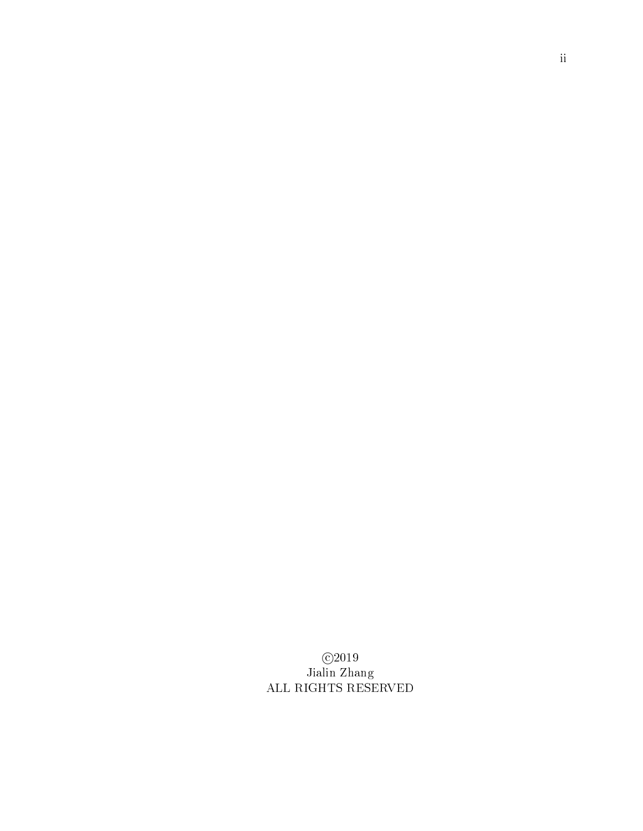c 2019 Jialin Zhang ALL RIGHTS RESERVED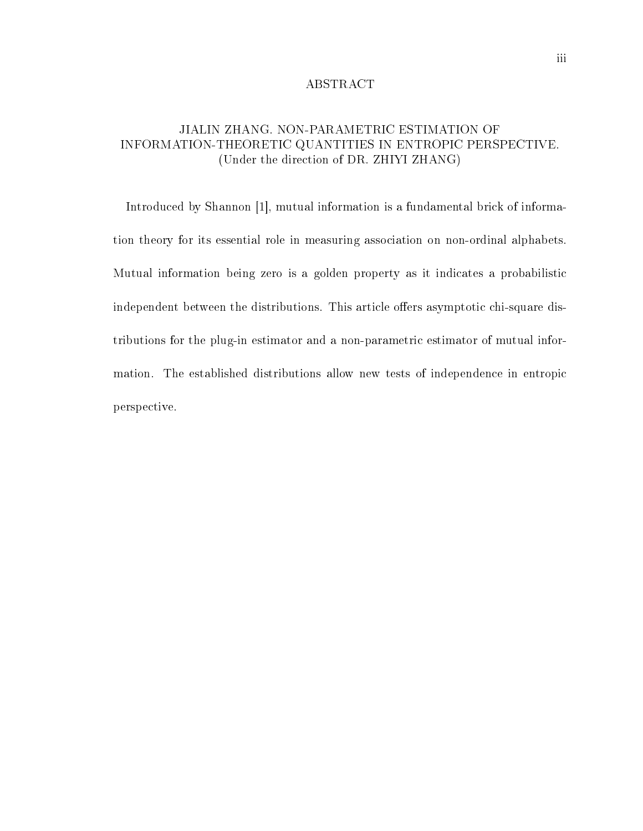#### ABSTRACT

## JIALIN ZHANG. NON-PARAMETRIC ESTIMATION OF INFORMATION-THEORETIC QUANTITIES IN ENTROPIC PERSPECTIVE. (Under the direction of DR. ZHIYI ZHANG)

Introduced by Shannon [1], mutual information is a fundamental brick of information theory for its essential role in measuring association on non-ordinal alphabets. Mutual information being zero is a golden property as it indicates a probabilistic independent between the distributions. This article offers asymptotic chi-square distributions for the plug-in estimator and a non-parametric estimator of mutual information. The established distributions allow new tests of independence in entropic perspective.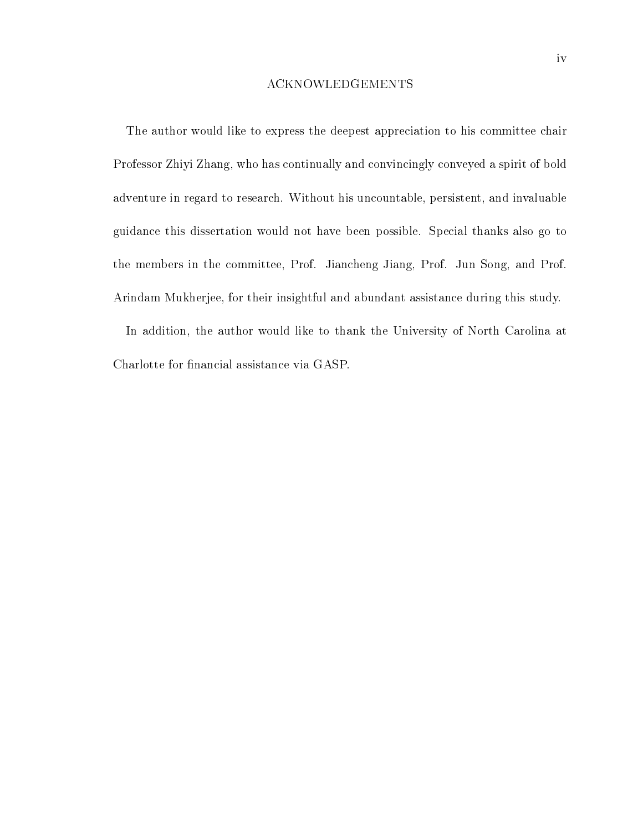#### ACKNOWLEDGEMENTS

The author would like to express the deepest appreciation to his committee chair Professor Zhiyi Zhang, who has continually and convincingly conveyed a spirit of bold adventure in regard to research. Without his uncountable, persistent, and invaluable guidance this dissertation would not have been possible. Special thanks also go to the members in the committee, Prof. Jiancheng Jiang, Prof. Jun Song, and Prof. Arindam Mukherjee, for their insightful and abundant assistance during this study.

In addition, the author would like to thank the University of North Carolina at Charlotte for financial assistance via GASP.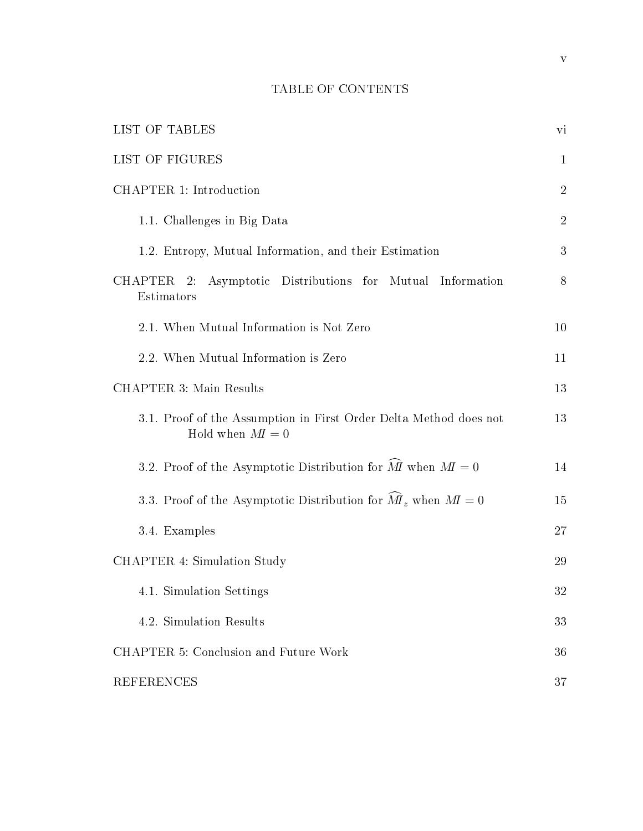# TABLE OF CONTENTS

| LIST OF TABLES                                                                       | vi             |
|--------------------------------------------------------------------------------------|----------------|
| LIST OF FIGURES                                                                      | $\mathbf{1}$   |
| CHAPTER 1: Introduction                                                              | $\sqrt{2}$     |
| 1.1. Challenges in Big Data                                                          | $\overline{2}$ |
| 1.2. Entropy, Mutual Information, and their Estimation                               | 3              |
| Asymptotic Distributions for Mutual Information<br>CHAPTER 2:<br>Estimators          | 8              |
| 2.1. When Mutual Information is Not Zero                                             | 10             |
| 2.2. When Mutual Information is Zero                                                 | 11             |
| <b>CHAPTER 3: Main Results</b>                                                       | 13             |
| 3.1. Proof of the Assumption in First Order Delta Method does not<br>Hold when $M=0$ | 13             |
| 3.2. Proof of the Asymptotic Distribution for $\hat{M}$ when $M = 0$                 | 14             |
| 3.3. Proof of the Asymptotic Distribution for $\tilde{M}_z$ when $M = 0$             | 15             |
| 3.4. Examples                                                                        | 27             |
| CHAPTER 4: Simulation Study                                                          | 29             |
| 4.1. Simulation Settings                                                             | 32             |
| 4.2. Simulation Results                                                              | 33             |
| CHAPTER 5: Conclusion and Future Work                                                | 36             |
| <b>REFERENCES</b>                                                                    | 37             |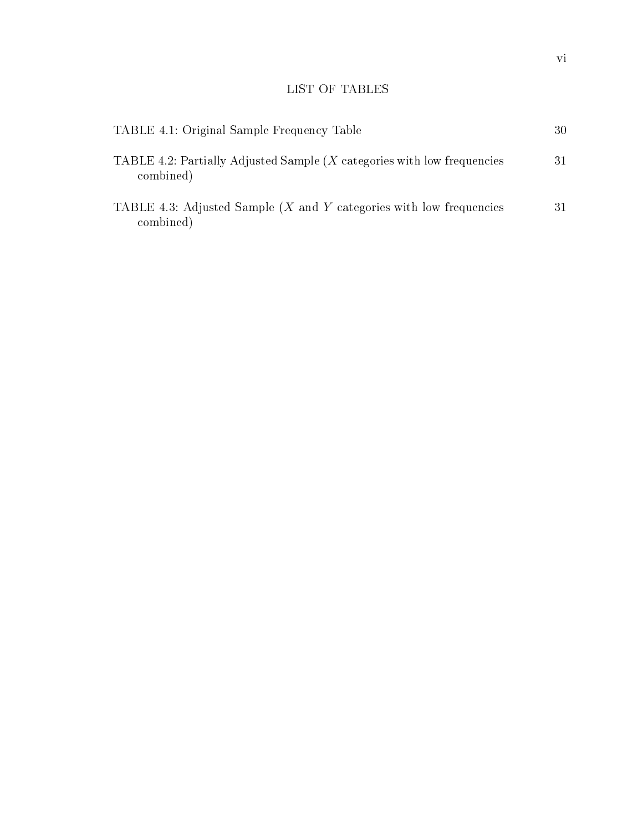# LIST OF TABLES

| TABLE 4.1: Original Sample Frequency Table                                             | 30 |
|----------------------------------------------------------------------------------------|----|
| TABLE 4.2: Partially Adjusted Sample $(X$ categories with low frequencies<br>combined) | 31 |
| TABLE 4.3: Adjusted Sample $(X$ and Y categories with low frequencies<br>combined)     | 31 |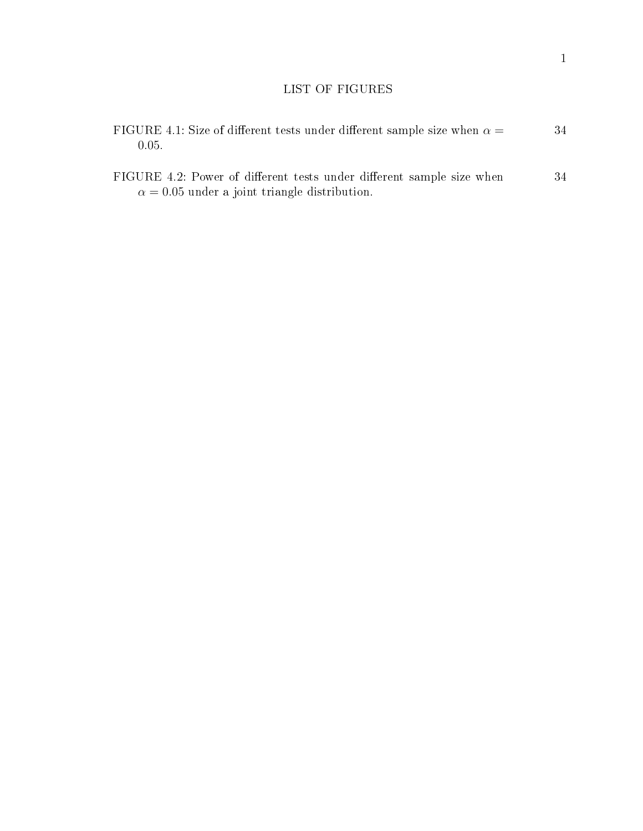## LIST OF FIGURES

| FIGURE 4.1: Size of different tests under different sample size when $\alpha = 0$<br>(0.05.                                   | 34 |
|-------------------------------------------------------------------------------------------------------------------------------|----|
| FIGURE 4.2: Power of different tests under different sample size when<br>$\alpha = 0.05$ under a joint triangle distribution. | 34 |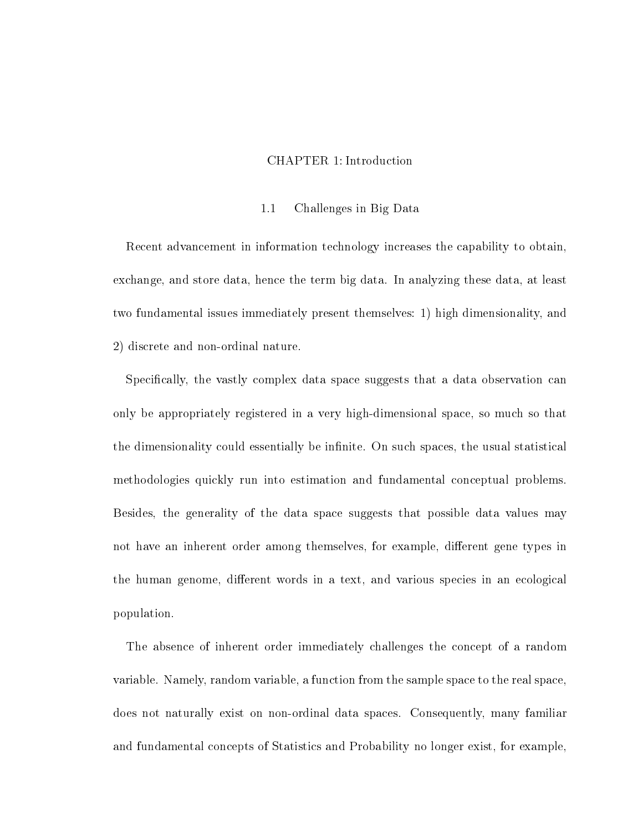### CHAPTER 1: Introduction

#### 1.1 Challenges in Big Data

Recent advancement in information technology increases the capability to obtain, exchange, and store data, hence the term big data. In analyzing these data, at least two fundamental issues immediately present themselves: 1) high dimensionality, and 2) discrete and non-ordinal nature.

Specifically, the vastly complex data space suggests that a data observation can only be appropriately registered in a very high-dimensional space, so much so that the dimensionality could essentially be infinite. On such spaces, the usual statistical methodologies quickly run into estimation and fundamental conceptual problems. Besides, the generality of the data space suggests that possible data values may not have an inherent order among themselves, for example, different gene types in the human genome, different words in a text, and various species in an ecological population.

The absence of inherent order immediately challenges the concept of a random variable. Namely, random variable, a function from the sample space to the real space, does not naturally exist on non-ordinal data spaces. Consequently, many familiar and fundamental concepts of Statistics and Probability no longer exist, for example,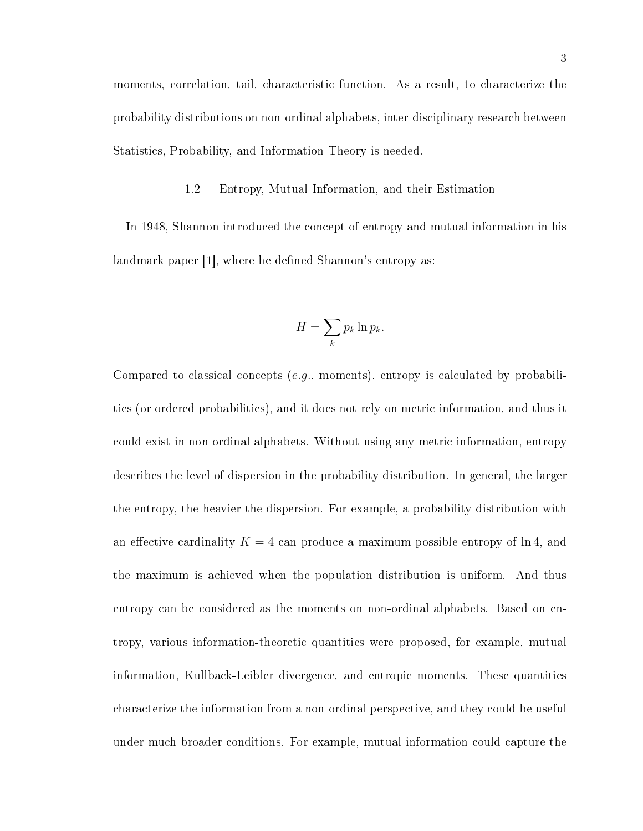moments, correlation, tail, characteristic function. As a result, to characterize the probability distributions on non-ordinal alphabets, inter-disciplinary research between Statistics, Probability, and Information Theory is needed.

#### 1.2 Entropy, Mutual Information, and their Estimation

In 1948, Shannon introduced the concept of entropy and mutual information in his landmark paper [1], where he defined Shannon's entropy as:

$$
H = \sum_{k} p_k \ln p_k.
$$

Compared to classical concepts (e.g., moments), entropy is calculated by probabilities (or ordered probabilities), and it does not rely on metric information, and thus it could exist in non-ordinal alphabets. Without using any metric information, entropy describes the level of dispersion in the probability distribution. In general, the larger the entropy, the heavier the dispersion. For example, a probability distribution with an effective cardinality  $K = 4$  can produce a maximum possible entropy of  $\ln 4$ , and the maximum is achieved when the population distribution is uniform. And thus entropy can be considered as the moments on non-ordinal alphabets. Based on entropy, various information-theoretic quantities were proposed, for example, mutual information, Kullback-Leibler divergence, and entropic moments. These quantities characterize the information from a non-ordinal perspective, and they could be useful under much broader conditions. For example, mutual information could capture the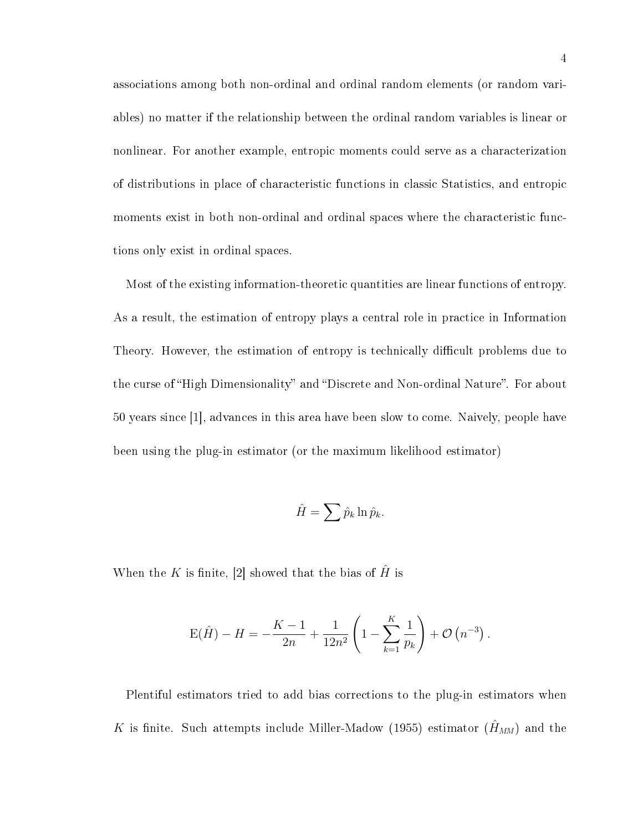associations among both non-ordinal and ordinal random elements (or random variables) no matter if the relationship between the ordinal random variables is linear or nonlinear. For another example, entropic moments could serve as a characterization of distributions in place of characteristic functions in classic Statistics, and entropic moments exist in both non-ordinal and ordinal spaces where the characteristic functions only exist in ordinal spaces.

Most of the existing information-theoretic quantities are linear functions of entropy. As a result, the estimation of entropy plays a central role in practice in Information Theory. However, the estimation of entropy is technically difficult problems due to the curse of "High Dimensionality" and "Discrete and Non-ordinal Nature". For about 50 years since [1], advances in this area have been slow to come. Naively, people have been using the plug-in estimator (or the maximum likelihood estimator)

$$
\hat{H} = \sum \hat{p}_k \ln \hat{p}_k.
$$

When the K is finite, [2] showed that the bias of  $\hat{H}$  is

$$
E(\hat{H}) - H = -\frac{K-1}{2n} + \frac{1}{12n^2} \left( 1 - \sum_{k=1}^{K} \frac{1}{p_k} \right) + \mathcal{O}\left(n^{-3}\right).
$$

Plentiful estimators tried to add bias corrections to the plug-in estimators when K is finite. Such attempts include Miller-Madow (1955) estimator  $(\hat{H}_{MM})$  and the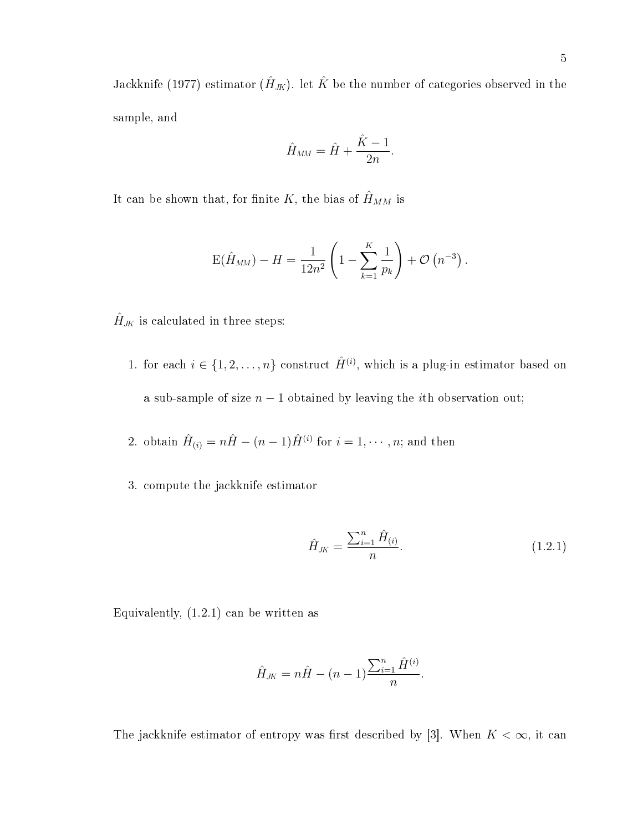Jackknife (1977) estimator  $(\hat{H}_{JK})$ . let  $\hat{K}$  be the number of categories observed in the sample, and

$$
\hat{H}_{MM} = \hat{H} + \frac{\hat{K} - 1}{2n}.
$$

It can be shown that, for finite K, the bias of  $\hat{H}_{MM}$  is

$$
E(\hat{H}_{MM}) - H = \frac{1}{12n^2} \left( 1 - \sum_{k=1}^{K} \frac{1}{p_k} \right) + \mathcal{O}(n^{-3}).
$$

 $\hat{H}_{J\!K}$  is calculated in three steps:

- 1. for each  $i \in \{1, 2, ..., n\}$  construct  $\hat{H}^{(i)}$ , which is a plug-in estimator based on a sub-sample of size  $n - 1$  obtained by leaving the *i*th observation out;
- 2. obtain  $\hat{H}_{(i)} = n\hat{H} (n-1)\hat{H}^{(i)}$  for  $i = 1, \cdots, n$ ; and then
- 3. compute the jackknife estimator

$$
\hat{H}_{JK} = \frac{\sum_{i=1}^{n} \hat{H}_{(i)}}{n}.
$$
\n(1.2.1)

Equivalently,  $(1.2.1)$  can be written as

$$
\hat{H}_{JK} = n\hat{H} - (n-1)\frac{\sum_{i=1}^{n} \hat{H}^{(i)}}{n}.
$$

The jackknife estimator of entropy was first described by [3]. When  $K < \infty$ , it can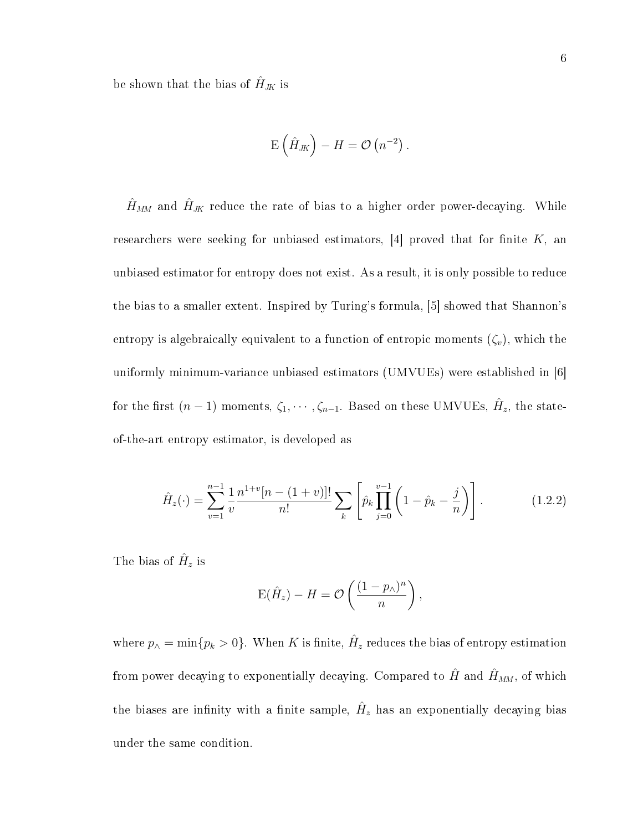be shown that the bias of  $\hat{H}_{JK}$  is

$$
\mathrm{E}\left(\hat{H}_{J\!K}\right)-H=\mathcal{O}\left(n^{-2}\right).
$$

 $\hat{H}_{MM}$  and  $\hat{H}_{JK}$  reduce the rate of bias to a higher order power-decaying. While researchers were seeking for unbiased estimators,  $[4]$  proved that for finite K, an unbiased estimator for entropy does not exist. As a result, it is only possible to reduce the bias to a smaller extent. Inspired by Turing's formula, [5] showed that Shannon's entropy is algebraically equivalent to a function of entropic moments  $(\zeta_v)$ , which the uniformly minimum-variance unbiased estimators (UMVUEs) were established in [6] for the first  $(n-1)$  moments,  $\zeta_1, \cdots, \zeta_{n-1}$ . Based on these UMVUEs,  $\hat{H}_z$ , the stateof-the-art entropy estimator, is developed as

$$
\hat{H}_z(\cdot) = \sum_{v=1}^{n-1} \frac{1}{v} \frac{n^{1+v}[n-(1+v)]!}{n!} \sum_k \left[ \hat{p}_k \prod_{j=0}^{v-1} \left(1 - \hat{p}_k - \frac{j}{n}\right) \right].
$$
\n(1.2.2)

The bias of  $\hat{H}_z$  is

$$
E(\hat{H}_z) - H = \mathcal{O}\left(\frac{(1 - p_\wedge)^n}{n}\right),\,
$$

where  $p_{\wedge} = \min\{p_k > 0\}$ . When K is finite,  $\hat{H}_z$  reduces the bias of entropy estimation from power decaying to exponentially decaying. Compared to  $\hat{H}$  and  $\hat{H}_{MM}$ , of which the biases are infinity with a finite sample,  $\hat{H}_z$  has an exponentially decaying bias under the same condition.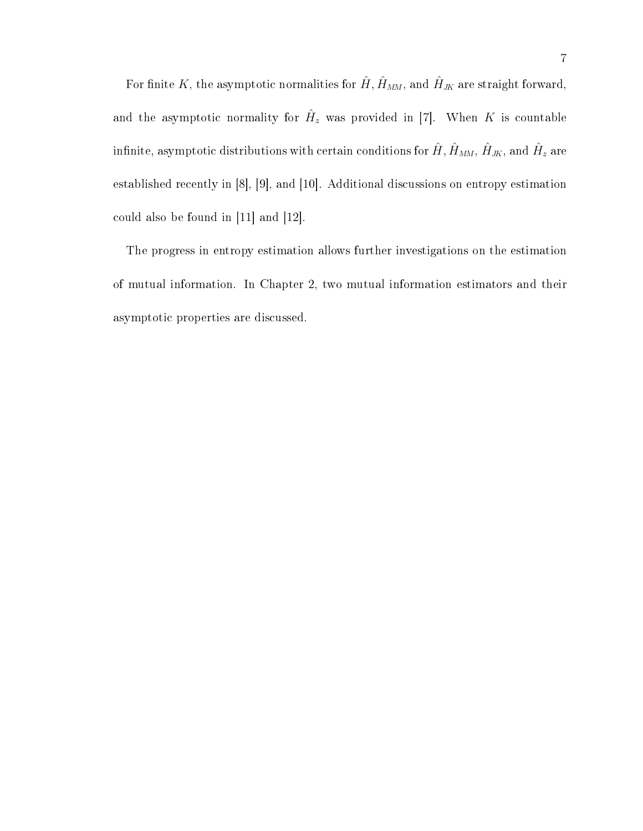For finite K, the asymptotic normalities for  $\hat{H}$ ,  $\hat{H}_{MM}$ , and  $\hat{H}_{JK}$  are straight forward, and the asymptotic normality for  $\hat{H}_z$  was provided in [7]. When K is countable infinite, asymptotic distributions with certain conditions for  $\hat{H}, \hat{H}_{MM}, \hat{H}_{JK},$  and  $\hat{H}_z$  are established recently in [8], [9], and [10]. Additional discussions on entropy estimation could also be found in [11] and [12].

The progress in entropy estimation allows further investigations on the estimation of mutual information. In Chapter 2, two mutual information estimators and their asymptotic properties are discussed.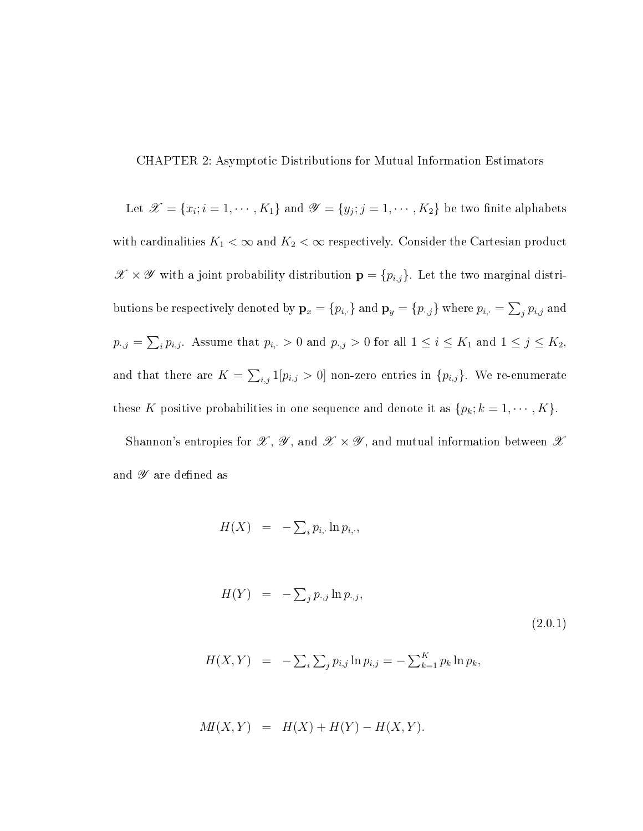CHAPTER 2: Asymptotic Distributions for Mutual Information Estimators

Let  $\mathscr{X} = \{x_i; i = 1, \cdots, K_1\}$  and  $\mathscr{Y} = \{y_j; j = 1, \cdots, K_2\}$  be two finite alphabets with cardinalities  $K_1 < \infty$  and  $K_2 < \infty$  respectively. Consider the Cartesian product  $\mathscr{X} \times \mathscr{Y}$  with a joint probability distribution  $\mathbf{p} = \{p_{i,j}\}$ . Let the two marginal distributions be respectively denoted by  $\mathbf{p}_x = \{p_{i,\cdot}\}$  and  $\mathbf{p}_y = \{p_{\cdot,j}\}$  where  $p_{i,\cdot} = \sum_j p_{i,j}$  and  $p_{\cdot,j} = \sum_i p_{i,j}$ . Assume that  $p_{i,\cdot} > 0$  and  $p_{\cdot,j} > 0$  for all  $1 \leq i \leq K_1$  and  $1 \leq j \leq K_2$ , and that there are  $K = \sum_{i,j} 1[p_{i,j} > 0]$  non-zero entries in  $\{p_{i,j}\}$ . We re-enumerate these K positive probabilities in one sequence and denote it as  $\{p_k; k = 1, \cdots, K\}$ .

Shannon's entropies for  $\mathscr{X}, \mathscr{Y},$  and  $\mathscr{X} \times \mathscr{Y}$ , and mutual information between  $\mathscr{X}$ and  ${\mathscr Y}$  are defined as

$$
H(X) = -\sum_{i} p_{i,\cdot} \ln p_{i,\cdot},
$$

$$
H(Y) = -\sum_{j} p_{\cdot,j} \ln p_{\cdot,j}, \qquad (2.0.1)
$$

$$
H(X,Y) = -\sum_{i} \sum_{j} p_{i,j} \ln p_{i,j} = -\sum_{k=1}^{K} p_k \ln p_k,
$$

$$
M(X,Y) = H(X) + H(Y) - H(X,Y).
$$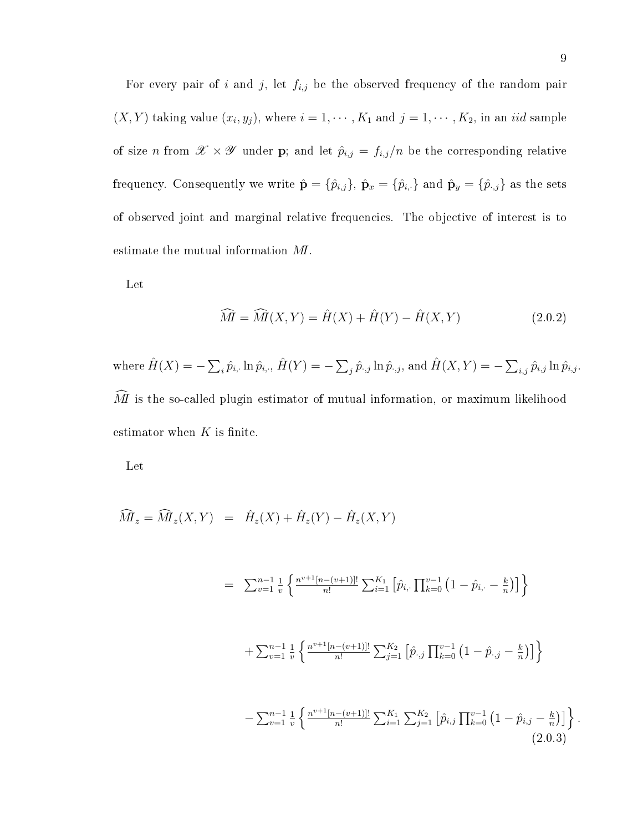For every pair of i and j, let  $f_{i,j}$  be the observed frequency of the random pair  $(X, Y)$  taking value  $(x_i, y_j)$ , where  $i = 1, \dots, K_1$  and  $j = 1, \dots, K_2$ , in an *iid* sample of size n from  $\mathscr{X} \times \mathscr{Y}$  under **p**; and let  $\hat{p}_{i,j} = f_{i,j}/n$  be the corresponding relative frequency. Consequently we write  $\hat{\mathbf{p}} = \{\hat{p}_{i,j}\}, \ \hat{\mathbf{p}}_x = \{\hat{p}_{i,\cdot}\}\$ and  $\hat{\mathbf{p}}_y = \{\hat{p}_{\cdot,j}\}\$ as the sets of observed joint and marginal relative frequencies. The objective of interest is to estimate the mutual information MI.

Let

$$
\widehat{M} = \widehat{M}(X, Y) = \widehat{H}(X) + \widehat{H}(Y) - \widehat{H}(X, Y) \tag{2.0.2}
$$

where  $\hat{H}(X) = -\sum_i \hat{p}_{i,\cdot} \ln \hat{p}_{i,\cdot}, \hat{H}(Y) = -\sum_j \hat{p}_{\cdot,j} \ln \hat{p}_{\cdot,j},$  and  $\hat{H}(X,Y) = -\sum_{i,j} \hat{p}_{i,j} \ln \hat{p}_{i,j}.$  $\widehat{M}$  is the so-called plugin estimator of mutual information, or maximum likelihood estimator when  $K$  is finite.

Let

$$
\widehat{M}_z = \widehat{M}_z(X, Y) = \hat{H}_z(X) + \hat{H}_z(Y) - \hat{H}_z(X, Y)
$$

$$
= \sum_{v=1}^{n-1} \frac{1}{v} \left\{ \frac{n^{v+1}[n-(v+1)]!}{n!} \sum_{i=1}^{K_1} \left[ \hat{p}_{i, \cdot} \prod_{k=0}^{v-1} \left( 1 - \hat{p}_{i, \cdot} - \frac{k}{n} \right) \right] \right\}
$$
  
+ 
$$
\sum_{v=1}^{n-1} \frac{1}{v} \left\{ \frac{n^{v+1}[n-(v+1)]!}{n!} \sum_{j=1}^{K_2} \left[ \hat{p}_{\cdot,j} \prod_{k=0}^{v-1} \left( 1 - \hat{p}_{\cdot,j} - \frac{k}{n} \right) \right] \right\}
$$
  
- 
$$
\sum_{v=1}^{n-1} \frac{1}{v} \left\{ \frac{n^{v+1}[n-(v+1)]!}{n!} \sum_{i=1}^{K_1} \sum_{j=1}^{K_2} \left[ \hat{p}_{i,j} \prod_{k=0}^{v-1} \left( 1 - \hat{p}_{i,j} - \frac{k}{n} \right) \right] \right\}
$$
(2.0.3)

.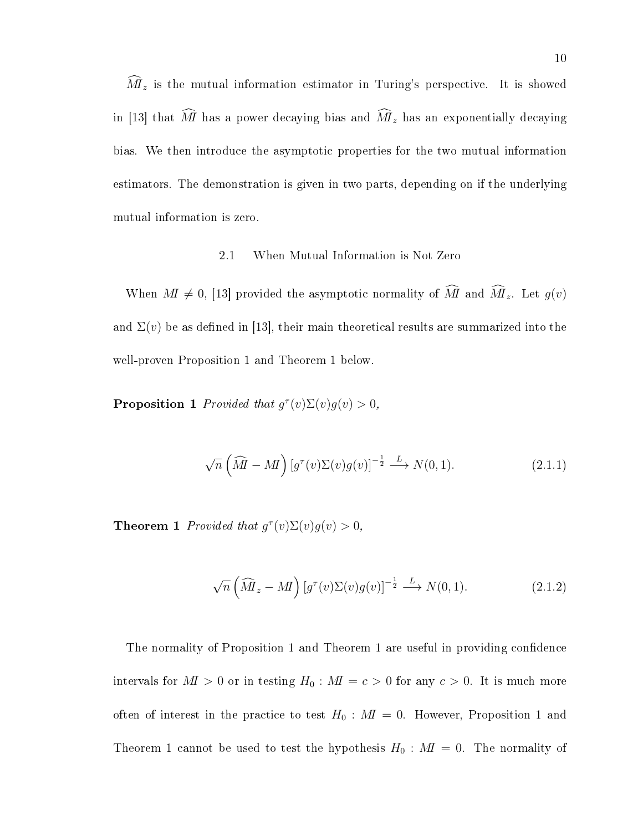$\tilde{M}_z$  is the mutual information estimator in Turing's perspective. It is showed in [13] that  $\widehat{M}$  has a power decaying bias and  $\widehat{M}_z$  has an exponentially decaying bias. We then introduce the asymptotic properties for the two mutual information estimators. The demonstration is given in two parts, depending on if the underlying mutual information is zero.

#### 2.1 When Mutual Information is Not Zero

When  $M \neq 0$ , [13] provided the asymptotic normality of  $\widehat{M}$  and  $\widehat{M}_z$ . Let  $g(v)$ and  $\Sigma(v)$  be as defined in [13], their main theoretical results are summarized into the well-proven Proposition 1 and Theorem 1 below.

**Proposition 1** Provided that  $g^{\tau}(v)\Sigma(v)g(v) > 0$ ,

$$
\sqrt{n}\left(\widehat{M} - M\right) \left[g^{\tau}(v)\Sigma(v)g(v)\right]^{-\frac{1}{2}} \stackrel{L}{\longrightarrow} N(0, 1). \tag{2.1.1}
$$

**Theorem 1** Provided that  $g^{\tau}(v)\Sigma(v)g(v) > 0$ ,

$$
\sqrt{n}\left(\widehat{M}_z - M\right) \left[g^\tau(v)\Sigma(v)g(v)\right]^{-\frac{1}{2}} \stackrel{L}{\longrightarrow} N(0, 1). \tag{2.1.2}
$$

The normality of Proposition 1 and Theorem 1 are useful in providing condence intervals for  $M > 0$  or in testing  $H_0 : M = c > 0$  for any  $c > 0$ . It is much more often of interest in the practice to test  $H_0$ :  $M = 0$ . However, Proposition 1 and Theorem 1 cannot be used to test the hypothesis  $H_0 : M I = 0$ . The normality of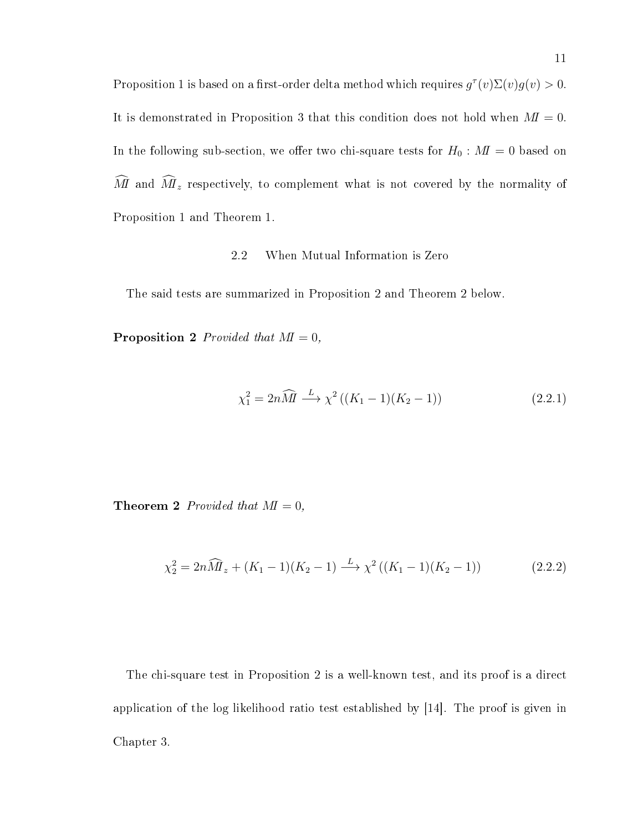Proposition 1 is based on a first-order delta method which requires  $g^{\tau}(v)\Sigma(v)g(v) > 0$ . It is demonstrated in Proposition 3 that this condition does not hold when  $M = 0$ . In the following sub-section, we offer two chi-square tests for  $H_0 : M \to 0$  based on  $\widehat{M}$  and  $\widehat{M}_z$  respectively, to complement what is not covered by the normality of Proposition 1 and Theorem 1.

### 2.2 When Mutual Information is Zero

The said tests are summarized in Proposition 2 and Theorem 2 below.

**Proposition 2** Provided that  $M = 0$ ,

$$
\chi_1^2 = 2n\widehat{M} \xrightarrow{L} \chi^2 ((K_1 - 1)(K_2 - 1))
$$
\n(2.2.1)

**Theorem 2** Provided that  $M = 0$ ,

$$
\chi_2^2 = 2n\widehat{M}_z + (K_1 - 1)(K_2 - 1) \xrightarrow{L} \chi^2 ((K_1 - 1)(K_2 - 1))
$$
\n(2.2.2)

The chi-square test in Proposition 2 is a well-known test, and its proof is a direct application of the log likelihood ratio test established by [14]. The proof is given in Chapter 3.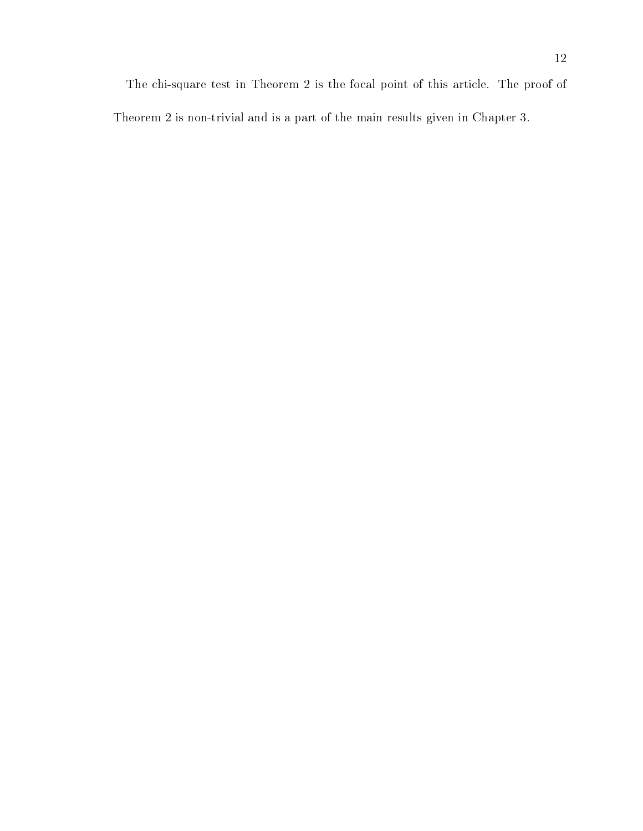The chi-square test in Theorem 2 is the focal point of this article. The proof of Theorem 2 is non-trivial and is a part of the main results given in Chapter 3.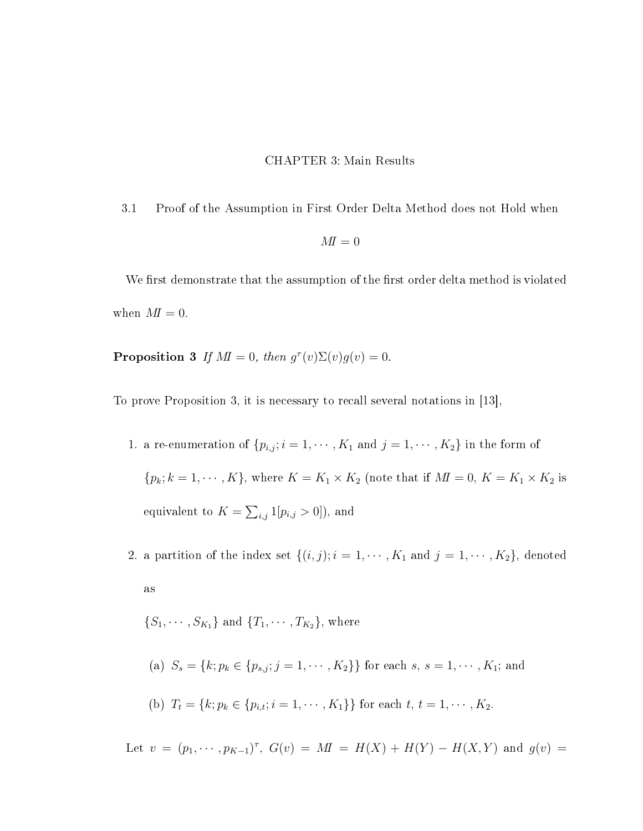#### CHAPTER 3: Main Results

3.1 Proof of the Assumption in First Order Delta Method does not Hold when

$$
M\!I=0
$$

We first demonstrate that the assumption of the first order delta method is violated when  $M=0$ .

**Proposition 3** If  $M\mathbf{I} = 0$ , then  $g^{\tau}(v)\Sigma(v)g(v) = 0$ .

To prove Proposition 3, it is necessary to recall several notations in [13],

1. a re-enumeration of  $\{p_{i,j}; i = 1, \cdots, K_1 \text{ and } j = 1, \cdots, K_2\}$  in the form of  $\{p_k; k = 1, \cdots, K\}$ , where  $K = K_1 \times K_2$  (note that if  $M = 0, K = K_1 \times K_2$  is equivalent to  $K = \sum_{i,j} 1[p_{i,j} > 0])$ , and

2. a partition of the index set  $\{(i, j); i = 1, \cdots, K_1 \text{ and } j = 1, \cdots, K_2\}$ , denoted as

 $\{S_1, \cdots, S_{K_1}\}\$ and  $\{T_1, \cdots, T_{K_2}\}\$ , where

(a)  $S_s = \{k; p_k \in \{p_{s,j}; j = 1, \cdots, K_2\}\}\$ for each  $s, s = 1, \cdots, K_1$ ; and

(b) 
$$
T_t = \{k; p_k \in \{p_{i,t}; i = 1, \cdots, K_1\}\}\
$$
 for each  $t, t = 1, \cdots, K_2$ .

Let  $v = (p_1, \dots, p_{K-1})^{\tau}$ ,  $G(v) = M I = H(X) + H(Y) - H(X, Y)$  and  $g(v) =$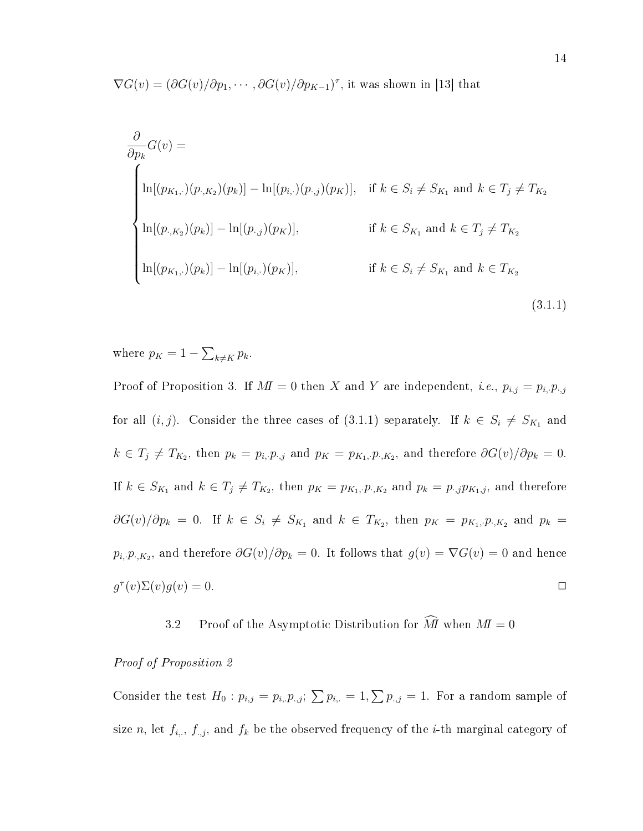$\nabla G(v) = (\partial G(v)/\partial p_1, \cdots, \partial G(v)/\partial p_{K-1})^{\tau}$ , it was shown in [13] that

$$
\frac{\partial}{\partial p_k} G(v) =
$$
\n
$$
\begin{cases}\n\ln[(p_{K_1,\cdot})(p_{\cdot,K_2})(p_k)] - \ln[(p_{i,\cdot})(p_{\cdot,j})(p_K)], & \text{if } k \in S_i \neq S_{K_1} \text{ and } k \in T_j \neq T_{K_2} \\
\ln[(p_{\cdot,K_2})(p_k)] - \ln[(p_{\cdot,j})(p_K)], & \text{if } k \in S_{K_1} \text{ and } k \in T_j \neq T_{K_2} \\
\ln[(p_{K_1,\cdot})(p_k)] - \ln[(p_{i,\cdot})(p_K)], & \text{if } k \in S_i \neq S_{K_1} \text{ and } k \in T_{K_2}\n\end{cases}
$$
\n(3.1.1)

where  $p_K = 1 - \sum_{k \neq K} p_k$ .

Proof of Proposition 3. If  $M = 0$  then X and Y are independent, *i.e.*,  $p_{i,j} = p_{i,j} p_{i,j}$ for all  $(i, j)$ . Consider the three cases of  $(3.1.1)$  separately. If  $k \in S_i \neq S_{K_1}$  and  $k \in T_j \neq T_{K_2}$ , then  $p_k = p_{i,\cdot}p_{\cdot,j}$  and  $p_K = p_{K_1,\cdot}p_{\cdot,K_2}$ , and therefore  $\partial G(v)/\partial p_k = 0$ . If  $k \in S_{K_1}$  and  $k \in T_j \neq T_{K_2}$ , then  $p_K = p_{K_1, P_1, K_2}$  and  $p_k = p_{k,j} p_{K_1, j}$ , and therefore  $\partial G(v)/\partial p_k = 0$ . If  $k \in S_i \neq S_{K_1}$  and  $k \in T_{K_2}$ , then  $p_K = p_{K_1, P_1, K_2}$  and  $p_k =$  $p_{i,\cdot}p_{\cdot,K_2},$  and therefore  $\partial G(v)/\partial p_k = 0$ . It follows that  $g(v) = \nabla G(v) = 0$  and hence  $g^{\tau}(v)\Sigma(v)g(v) = 0.$ 

3.2 Proof of the Asymptotic Distribution for  $\widehat{M}$  when  $M=0$ 

#### Proof of Proposition 2

Consider the test  $H_0: p_{i,j} = p_{i,1} p_{i,j}$ ;  $\sum p_{i,1} = 1, \sum p_{i,2} = 1$ . For a random sample of size n, let  $f_{i_r}$ ,  $f_{i,j}$ , and  $f_k$  be the observed frequency of the *i*-th marginal category of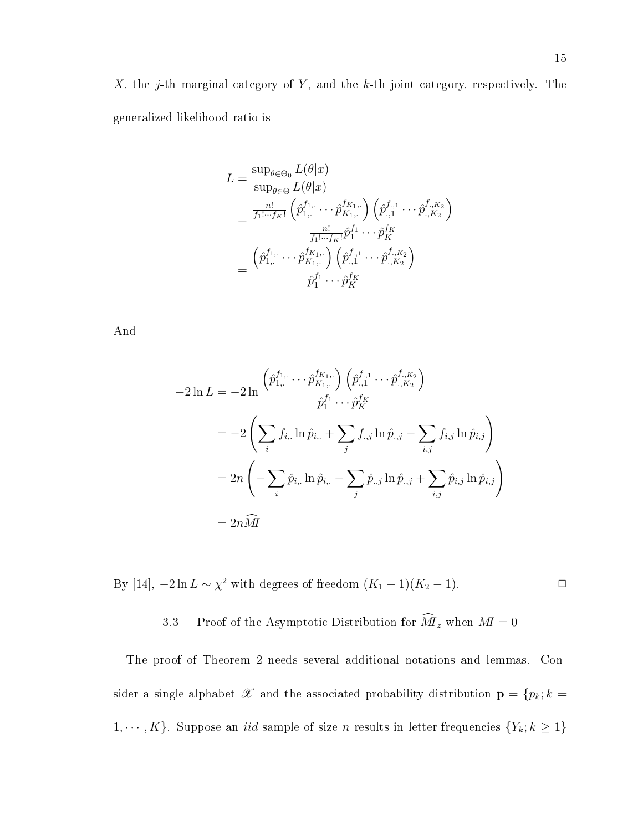$$
L = \frac{\sup_{\theta \in \Theta_0} L(\theta | x)}{\sup_{\theta \in \Theta} L(\theta | x)}
$$
  
= 
$$
\frac{\frac{n!}{f_1! \cdots f_K!} \left( \hat{p}_{1, \cdot}^{f_1, \cdot} \cdots \hat{p}_{K_1, \cdot}^{f_{K_1, \cdot}} \right) \left( \hat{p}_{.,1}^{f_{.,1}} \cdots \hat{p}_{.,K_2}^{f_{.,K_2}} \right)}{\frac{n!}{f_1! \cdots f_K!} \hat{p}_1^{f_1} \cdots \hat{p}_K^{f_K}}
$$
  
= 
$$
\frac{\left( \hat{p}_{1, \cdot}^{f_1, \cdot} \cdots \hat{p}_{K_1, \cdot}^{f_{K_1, \cdot}} \right) \left( \hat{p}_{.,1}^{f_{.,1}} \cdots \hat{p}_{.,K_2}^{f_{.,K_2}} \right)}{\hat{p}_1^{f_1} \cdots \hat{p}_K^{f_K}}
$$

And

$$
-2\ln L = -2\ln \frac{\left(\hat{p}_{1,\cdot}^{f_{1,\cdot}} \cdots \hat{p}_{K_{1,\cdot}}^{f_{K_{1,\cdot}}}\right) \left(\hat{p}_{.,1}^{f_{.,1}} \cdots \hat{p}_{.,K_{2}}^{f_{.,K_{2}}}\right)}{\hat{p}_{1}^{f_{1}} \cdots \hat{p}_{K}^{f_{K}}}
$$
  
= 
$$
-2\left(\sum_{i} f_{i,.} \ln \hat{p}_{i,.} + \sum_{j} f_{.,j} \ln \hat{p}_{.,j} - \sum_{i,j} f_{i,j} \ln \hat{p}_{i,j}\right)
$$
  
= 
$$
2n\left(-\sum_{i} \hat{p}_{i,.} \ln \hat{p}_{i,.} - \sum_{j} \hat{p}_{.,j} \ln \hat{p}_{.,j} + \sum_{i,j} \hat{p}_{i,j} \ln \hat{p}_{i,j}\right)
$$
  
= 
$$
2n\widehat{M}
$$

By [14],  $-2\ln L \sim \chi^2$  with degrees of freedom  $(K_1 - 1)(K_2 - 1)$ .

3.3 Proof of the Asymptotic Distribution for  $\widehat{M}_z$  when  $M=0$ 

The proof of Theorem 2 needs several additional notations and lemmas. Consider a single alphabet  $\mathscr X$  and the associated probability distribution  $\mathbf p = \{p_k; k =$ 1,  $\cdots$ , K}. Suppose an *iid* sample of size *n* results in letter frequencies  $\{Y_k; k \geq 1\}$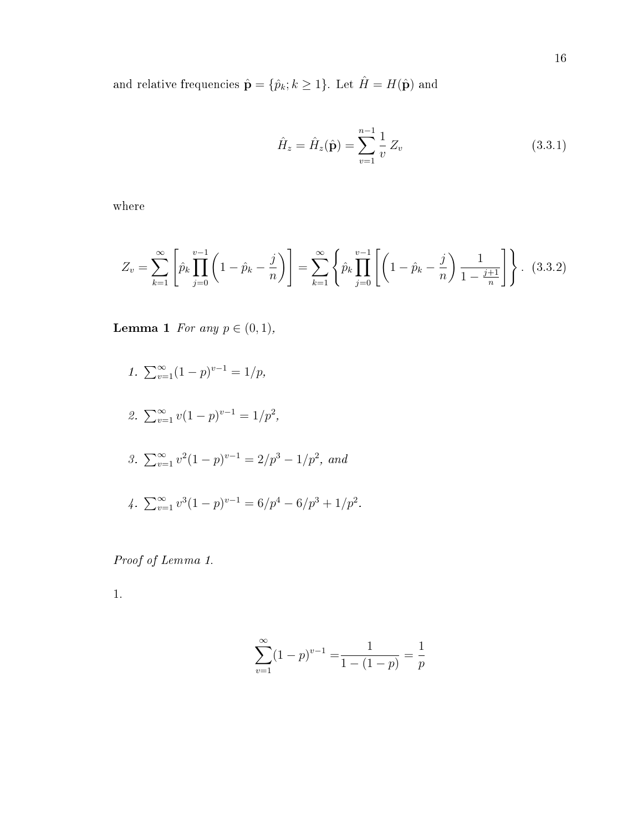and relative frequencies  $\hat{\mathbf{p}} = \{\hat{p}_k; k \geq 1\}$ . Let  $\hat{H} = H(\hat{\mathbf{p}})$  and

$$
\hat{H}_z = \hat{H}_z(\hat{\mathbf{p}}) = \sum_{v=1}^{n-1} \frac{1}{v} Z_v
$$
\n(3.3.1)

where

$$
Z_v = \sum_{k=1}^{\infty} \left[ \hat{p}_k \prod_{j=0}^{v-1} \left( 1 - \hat{p}_k - \frac{j}{n} \right) \right] = \sum_{k=1}^{\infty} \left\{ \hat{p}_k \prod_{j=0}^{v-1} \left[ \left( 1 - \hat{p}_k - \frac{j}{n} \right) \frac{1}{1 - \frac{j+1}{n}} \right] \right\}.
$$
 (3.3.2)

**Lemma 1** For any  $p \in (0, 1)$ ,

1. 
$$
\sum_{v=1}^{\infty} (1-p)^{v-1} = 1/p
$$
,  
\n2.  $\sum_{v=1}^{\infty} v(1-p)^{v-1} = 1/p^2$ ,  
\n3.  $\sum_{v=1}^{\infty} v^2(1-p)^{v-1} = 2/p^3 - 1/p^2$ , and  
\n4.  $\sum_{v=1}^{\infty} v^3(1-p)^{v-1} = 6/p^4 - 6/p^3 + 1/p^2$ .

Proof of Lemma 1.

1.

$$
\sum_{v=1}^{\infty} (1-p)^{v-1} = \frac{1}{1 - (1-p)} = \frac{1}{p}
$$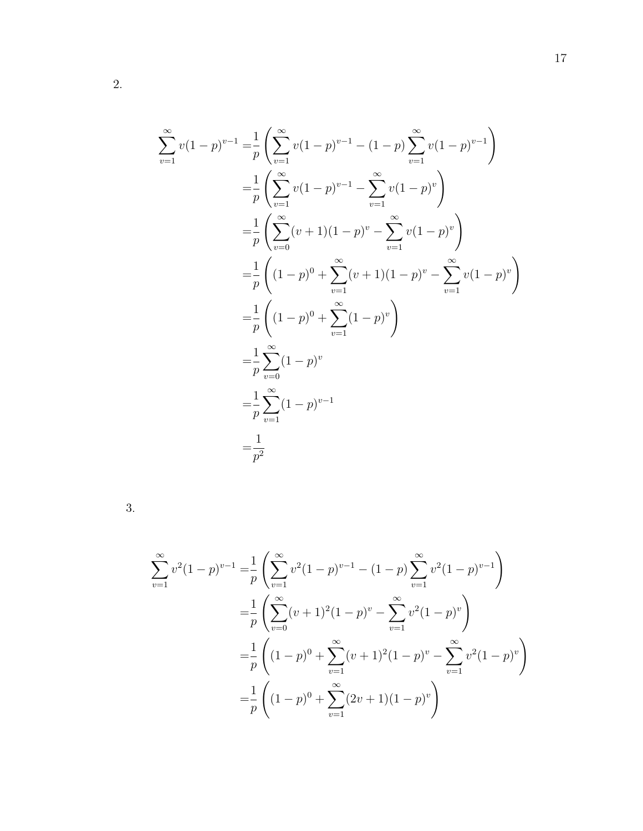$$
\sum_{v=1}^{\infty} v(1-p)^{v-1} = \frac{1}{p} \left( \sum_{v=1}^{\infty} v(1-p)^{v-1} - (1-p) \sum_{v=1}^{\infty} v(1-p)^{v-1} \right)
$$
  
\n
$$
= \frac{1}{p} \left( \sum_{v=1}^{\infty} v(1-p)^{v-1} - \sum_{v=1}^{\infty} v(1-p)^{v} \right)
$$
  
\n
$$
= \frac{1}{p} \left( \sum_{v=0}^{\infty} (v+1)(1-p)^{v} - \sum_{v=1}^{\infty} v(1-p)^{v} \right)
$$
  
\n
$$
= \frac{1}{p} \left( (1-p)^{0} + \sum_{v=1}^{\infty} (v+1)(1-p)^{v} - \sum_{v=1}^{\infty} v(1-p)^{v} \right)
$$
  
\n
$$
= \frac{1}{p} \left( (1-p)^{0} + \sum_{v=1}^{\infty} (1-p)^{v} \right)
$$
  
\n
$$
= \frac{1}{p} \sum_{v=1}^{\infty} (1-p)^{v-1}
$$
  
\n
$$
= \frac{1}{p^{2}}
$$

3.

$$
\sum_{v=1}^{\infty} v^2 (1-p)^{v-1} = \frac{1}{p} \left( \sum_{v=1}^{\infty} v^2 (1-p)^{v-1} - (1-p) \sum_{v=1}^{\infty} v^2 (1-p)^{v-1} \right)
$$
  

$$
= \frac{1}{p} \left( \sum_{v=0}^{\infty} (v+1)^2 (1-p)^v - \sum_{v=1}^{\infty} v^2 (1-p)^v \right)
$$
  

$$
= \frac{1}{p} \left( (1-p)^0 + \sum_{v=1}^{\infty} (v+1)^2 (1-p)^v - \sum_{v=1}^{\infty} v^2 (1-p)^v \right)
$$
  

$$
= \frac{1}{p} \left( (1-p)^0 + \sum_{v=1}^{\infty} (2v+1)(1-p)^v \right)
$$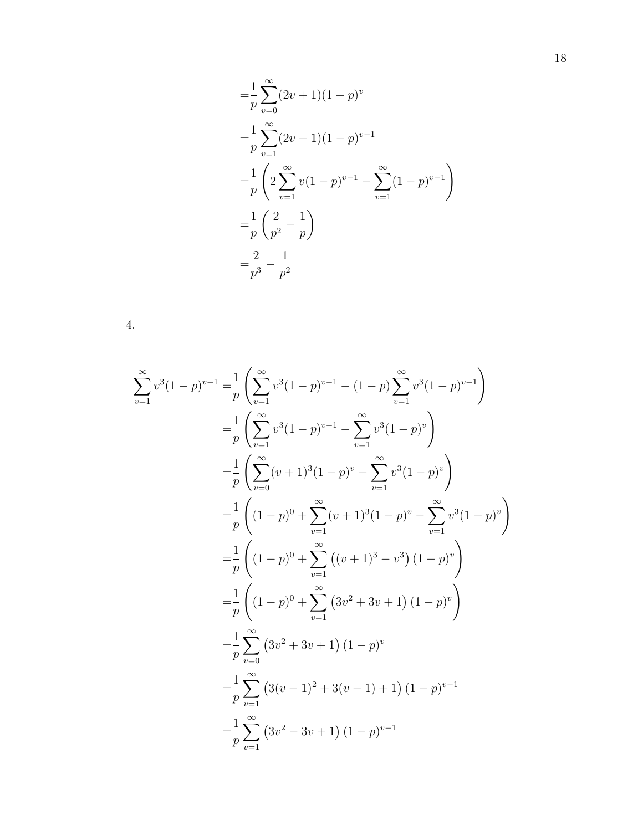$$
\begin{aligned}\n&= \frac{1}{p} \sum_{v=0}^{\infty} (2v+1)(1-p)^v \\
&= \frac{1}{p} \sum_{v=1}^{\infty} (2v-1)(1-p)^{v-1} \\
&= \frac{1}{p} \left( 2 \sum_{v=1}^{\infty} v(1-p)^{v-1} - \sum_{v=1}^{\infty} (1-p)^{v-1} \right) \\
&= \frac{1}{p} \left( \frac{2}{p^2} - \frac{1}{p} \right) \\
&= \frac{2}{p^3} - \frac{1}{p^2}\n\end{aligned}
$$

| ш |  |
|---|--|
|   |  |

$$
\sum_{v=1}^{\infty} v^3 (1-p)^{v-1} = \frac{1}{p} \left( \sum_{v=1}^{\infty} v^3 (1-p)^{v-1} - (1-p) \sum_{v=1}^{\infty} v^3 (1-p)^{v-1} \right)
$$
  
\n
$$
= \frac{1}{p} \left( \sum_{v=1}^{\infty} v^3 (1-p)^{v-1} - \sum_{v=1}^{\infty} v^3 (1-p)^{v} \right)
$$
  
\n
$$
= \frac{1}{p} \left( \sum_{v=0}^{\infty} (v+1)^3 (1-p)^{v} - \sum_{v=1}^{\infty} v^3 (1-p)^{v} \right)
$$
  
\n
$$
= \frac{1}{p} \left( (1-p)^0 + \sum_{v=1}^{\infty} (v+1)^3 (1-p)^{v} - \sum_{v=1}^{\infty} v^3 (1-p)^{v} \right)
$$
  
\n
$$
= \frac{1}{p} \left( (1-p)^0 + \sum_{v=1}^{\infty} \left( (v+1)^3 - v^3 \right) (1-p)^{v} \right)
$$
  
\n
$$
= \frac{1}{p} \sum_{v=0}^{\infty} \left( 3v^2 + 3v + 1 \right) (1-p)^{v}
$$
  
\n
$$
= \frac{1}{p} \sum_{v=1}^{\infty} \left( 3v^2 + 3v + 1 \right) (1-p)^{v}
$$
  
\n
$$
= \frac{1}{p} \sum_{v=1}^{\infty} \left( 3(v-1)^2 + 3(v-1) + 1 \right) (1-p)^{v-1}
$$
  
\n
$$
= \frac{1}{p} \sum_{v=1}^{\infty} \left( 3v^2 - 3v + 1 \right) (1-p)^{v-1}
$$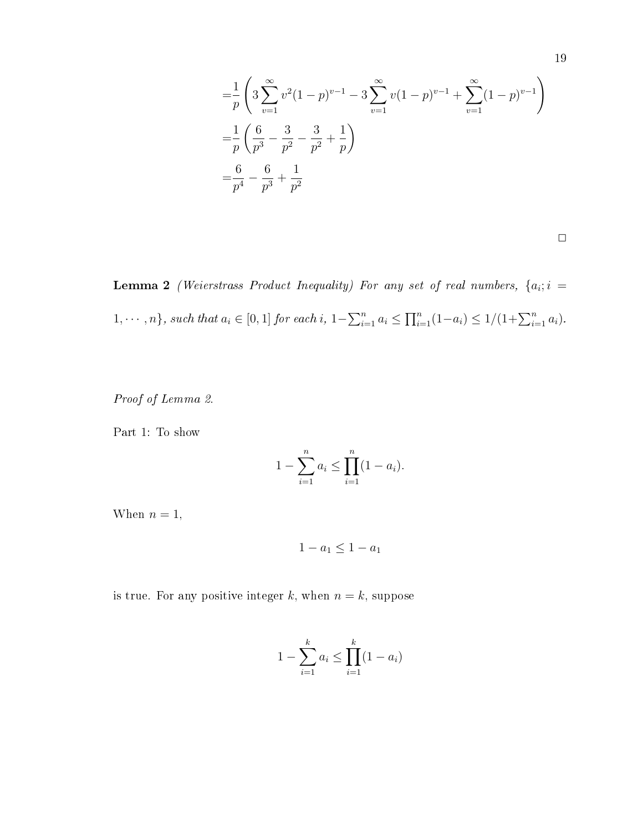$$
\begin{aligned}\n&= \frac{1}{p} \left( 3 \sum_{v=1}^{\infty} v^2 (1-p)^{v-1} - 3 \sum_{v=1}^{\infty} v (1-p)^{v-1} + \sum_{v=1}^{\infty} (1-p)^{v-1} \right) \\
&= \frac{1}{p} \left( \frac{6}{p^3} - \frac{3}{p^2} - \frac{3}{p^2} + \frac{1}{p} \right) \\
&= \frac{6}{p^4} - \frac{6}{p^3} + \frac{1}{p^2}\n\end{aligned}
$$

**Lemma 2** (Weierstrass Product Inequality) For any set of real numbers,  $\{a_i; i =$ 1,  $\dots$ , n}, such that  $a_i \in [0,1]$  for each i,  $1 - \sum_{i=1}^n a_i \le \prod_{i=1}^n (1-a_i) \le 1/(1 + \sum_{i=1}^n a_i)$ .

Proof of Lemma 2.

Part 1: To show

$$
1 - \sum_{i=1}^{n} a_i \le \prod_{i=1}^{n} (1 - a_i).
$$

When  $n = 1$ ,

$$
1 - a_1 \leq 1 - a_1
$$

is true. For any positive integer k, when  $n = k$ , suppose

$$
1 - \sum_{i=1}^{k} a_i \le \prod_{i=1}^{k} (1 - a_i)
$$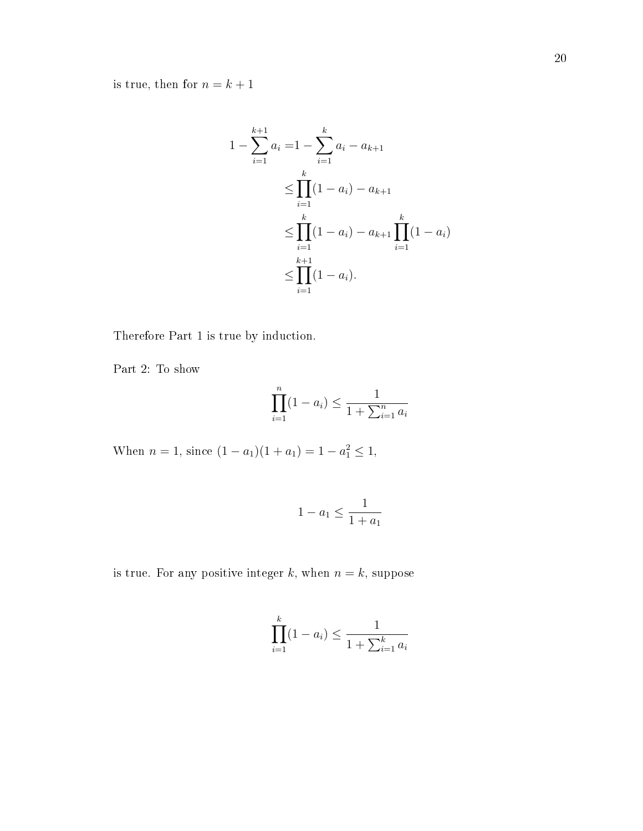is true, then for  $n=k+1$ 

$$
1 - \sum_{i=1}^{k+1} a_i = 1 - \sum_{i=1}^{k} a_i - a_{k+1}
$$
  
\n
$$
\leq \prod_{i=1}^{k} (1 - a_i) - a_{k+1}
$$
  
\n
$$
\leq \prod_{i=1}^{k} (1 - a_i) - a_{k+1} \prod_{i=1}^{k} (1 - a_i)
$$
  
\n
$$
\leq \prod_{i=1}^{k+1} (1 - a_i).
$$

Therefore Part 1 is true by induction.

Part 2: To show

$$
\prod_{i=1}^{n} (1 - a_i) \le \frac{1}{1 + \sum_{i=1}^{n} a_i}
$$

When  $n = 1$ , since  $(1 - a_1)(1 + a_1) = 1 - a_1^2 \le 1$ ,

$$
1 - a_1 \le \frac{1}{1 + a_1}
$$

is true. For any positive integer  $k$ , when  $n = k$ , suppose

$$
\prod_{i=1}^{k} (1 - a_i) \le \frac{1}{1 + \sum_{i=1}^{k} a_i}
$$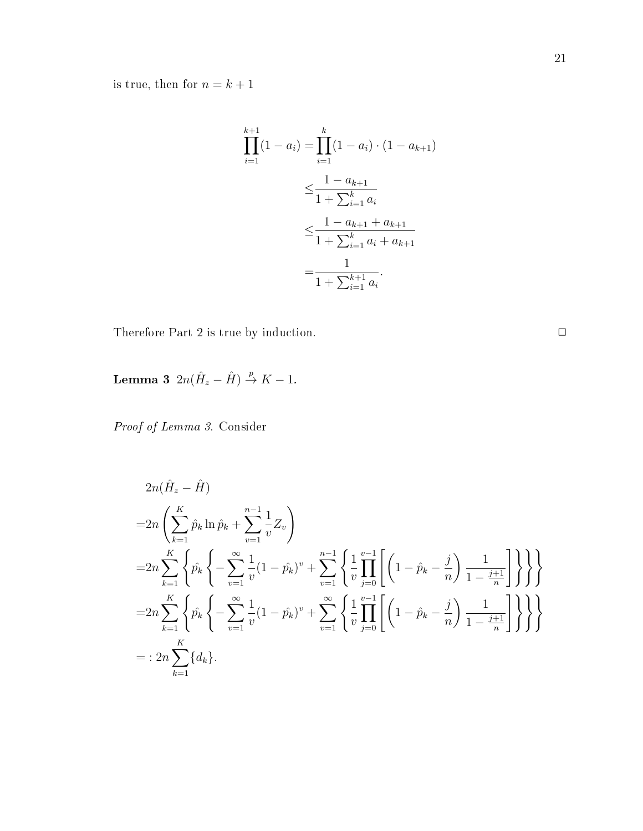is true, then for  $n=k+1$ 

$$
\prod_{i=1}^{k+1} (1 - a_i) = \prod_{i=1}^{k} (1 - a_i) \cdot (1 - a_{k+1})
$$
  

$$
\leq \frac{1 - a_{k+1}}{1 + \sum_{i=1}^{k} a_i}
$$
  

$$
\leq \frac{1 - a_{k+1} + a_{k+1}}{1 + \sum_{i=1}^{k} a_i + a_{k+1}}
$$
  

$$
= \frac{1}{1 + \sum_{i=1}^{k+1} a_i}.
$$

Therefore Part 2 is true by induction.  $\Box$ 

Lemma 3  $2n(\hat{H}_z - \hat{H}) \stackrel{p}{\rightarrow} K - 1$ .

Proof of Lemma 3. Consider

$$
2n(\hat{H}_z - \hat{H})
$$
  
\n
$$
= 2n \left( \sum_{k=1}^K \hat{p}_k \ln \hat{p}_k + \sum_{v=1}^{n-1} \frac{1}{v} Z_v \right)
$$
  
\n
$$
= 2n \sum_{k=1}^K \left\{ \hat{p}_k \left\{ - \sum_{v=1}^\infty \frac{1}{v} (1 - \hat{p}_k)^v + \sum_{v=1}^{n-1} \left\{ \frac{1}{v} \prod_{j=0}^{v-1} \left[ \left( 1 - \hat{p}_k - \frac{j}{n} \right) \frac{1}{1 - \frac{j+1}{n}} \right] \right\} \right\} \right\}
$$
  
\n
$$
= 2n \sum_{k=1}^K \left\{ \hat{p}_k \left\{ - \sum_{v=1}^\infty \frac{1}{v} (1 - \hat{p}_k)^v + \sum_{v=1}^\infty \left\{ \frac{1}{v} \prod_{j=0}^{v-1} \left[ \left( 1 - \hat{p}_k - \frac{j}{n} \right) \frac{1}{1 - \frac{j+1}{n}} \right] \right\} \right\} \right\}
$$
  
\n
$$
= : 2n \sum_{k=1}^K \{d_k\}.
$$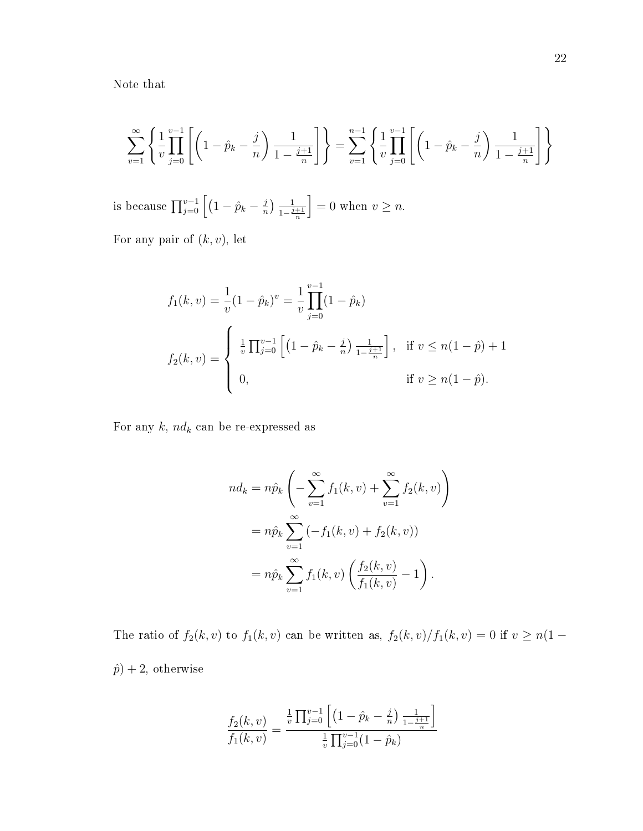Note that

$$
\sum_{v=1}^{\infty} \left\{ \frac{1}{v} \prod_{j=0}^{v-1} \left[ \left( 1 - \hat{p}_k - \frac{j}{n} \right) \frac{1}{1 - \frac{j+1}{n}} \right] \right\} = \sum_{v=1}^{n-1} \left\{ \frac{1}{v} \prod_{j=0}^{v-1} \left[ \left( 1 - \hat{p}_k - \frac{j}{n} \right) \frac{1}{1 - \frac{j+1}{n}} \right] \right\}
$$

is because  $\prod_{j=0}^{v-1}\Big[(1-\hat{p}_k-\frac{j}{n}]$  $\frac{j}{n}$   $\frac{1}{1-\frac{j}{n}}$  $\frac{j+1}{n}$  $= 0$  when  $v \geq n$ .

For any pair of  $(k, v)$ , let

$$
f_1(k, v) = \frac{1}{v} (1 - \hat{p}_k)^v = \frac{1}{v} \prod_{j=0}^{v-1} (1 - \hat{p}_k)
$$
  

$$
f_2(k, v) = \begin{cases} \frac{1}{v} \prod_{j=0}^{v-1} \left[ (1 - \hat{p}_k - \frac{j}{n}) \frac{1}{1 - \frac{j+1}{n}} \right], & \text{if } v \le n(1 - \hat{p}) + 1 \\ 0, & \text{if } v \ge n(1 - \hat{p}). \end{cases}
$$

For any  $k$ ,  $nd_k$  can be re-expressed as

$$
nd_k = n\hat{p}_k \left( -\sum_{v=1}^{\infty} f_1(k, v) + \sum_{v=1}^{\infty} f_2(k, v) \right)
$$
  
=  $n\hat{p}_k \sum_{v=1}^{\infty} (-f_1(k, v) + f_2(k, v))$   
=  $n\hat{p}_k \sum_{v=1}^{\infty} f_1(k, v) \left( \frac{f_2(k, v)}{f_1(k, v)} - 1 \right).$ 

The ratio of  $f_2(k, v)$  to  $f_1(k, v)$  can be written as,  $f_2(k, v)/f_1(k, v) = 0$  if  $v \ge n(1 \hat{p}$  + 2, otherwise

$$
\frac{f_2(k,v)}{f_1(k,v)} = \frac{\frac{1}{v} \prod_{j=0}^{v-1} \left[ \left( 1 - \hat{p}_k - \frac{j}{n} \right) \frac{1}{1 - \frac{j+1}{n}} \right]}{\frac{1}{v} \prod_{j=0}^{v-1} (1 - \hat{p}_k)}
$$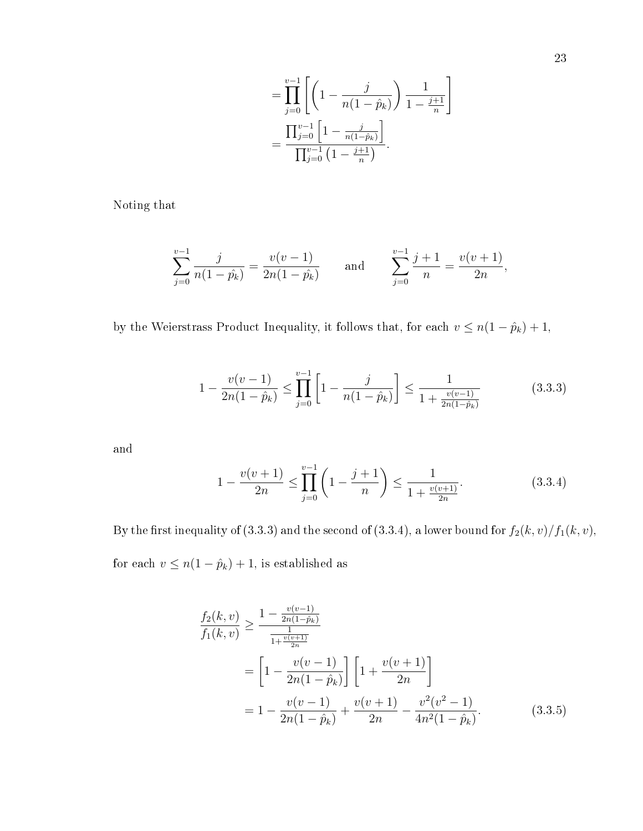$$
= \prod_{j=0}^{v-1} \left[ \left( 1 - \frac{j}{n(1-\hat{p}_k)} \right) \frac{1}{1 - \frac{j+1}{n}} \right]
$$
  
= 
$$
\frac{\prod_{j=0}^{v-1} \left[ 1 - \frac{j}{n(1-\hat{p}_k)} \right]}{\prod_{j=0}^{v-1} \left( 1 - \frac{j+1}{n} \right)}.
$$

Noting that

$$
\sum_{j=0}^{v-1} \frac{j}{n(1-j_k)} = \frac{v(v-1)}{2n(1-j_k)} \quad \text{and} \quad \sum_{j=0}^{v-1} \frac{j+1}{n} = \frac{v(v+1)}{2n},
$$

by the Weierstrass Product Inequality, it follows that, for each  $v \le n(1 - \hat{p}_k) + 1$ ,

$$
1 - \frac{v(v-1)}{2n(1-\hat{p}_k)} \le \prod_{j=0}^{v-1} \left[ 1 - \frac{j}{n(1-\hat{p}_k)} \right] \le \frac{1}{1 + \frac{v(v-1)}{2n(1-\hat{p}_k)}}\tag{3.3.3}
$$

and

$$
1 - \frac{v(v+1)}{2n} \le \prod_{j=0}^{v-1} \left( 1 - \frac{j+1}{n} \right) \le \frac{1}{1 + \frac{v(v+1)}{2n}}.
$$
\n(3.3.4)

By the first inequality of (3.3.3) and the second of (3.3.4), a lower bound for  $f_2(k, v)/f_1(k, v)$ , for each  $v \le n(1 - \hat{p}_k) + 1$ , is established as

$$
\frac{f_2(k,v)}{f_1(k,v)} \ge \frac{1 - \frac{v(v-1)}{2n(1-\hat{p}_k)}}{\frac{1}{1 + \frac{v(v+1)}{2n}}}
$$
\n
$$
= \left[1 - \frac{v(v-1)}{2n(1-\hat{p}_k)}\right] \left[1 + \frac{v(v+1)}{2n}\right]
$$
\n
$$
= 1 - \frac{v(v-1)}{2n(1-\hat{p}_k)} + \frac{v(v+1)}{2n} - \frac{v^2(v^2-1)}{4n^2(1-\hat{p}_k)}.
$$
\n(3.3.5)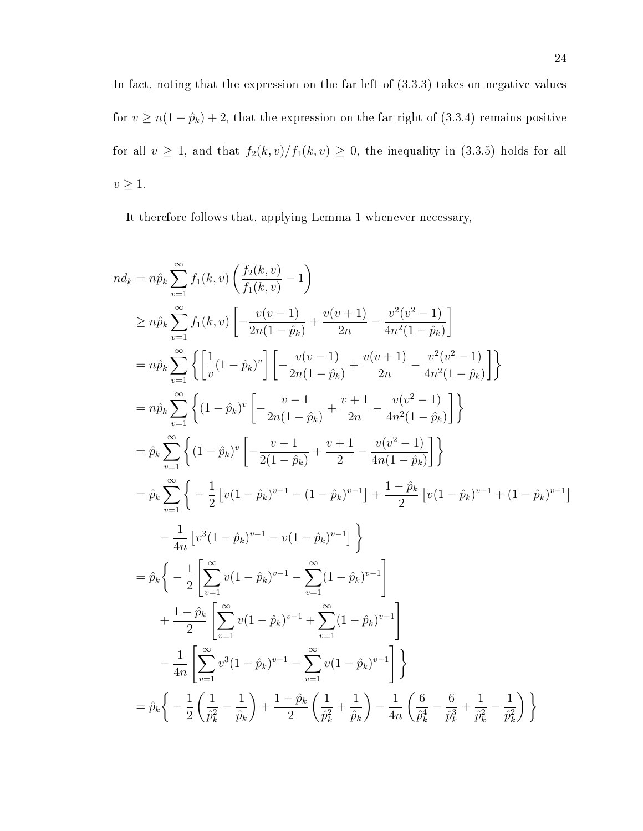In fact, noting that the expression on the far left of  $(3.3.3)$  takes on negative values for  $v \ge n(1 - \hat{p}_k) + 2$ , that the expression on the far right of (3.3.4) remains positive for all  $v \ge 1$ , and that  $f_2(k, v)/f_1(k, v) \ge 0$ , the inequality in (3.3.5) holds for all  $v\geq 1.$ 

It therefore follows that, applying Lemma 1 whenever necessary,

$$
n d_k = n \hat{p}_k \sum_{v=1}^{\infty} f_1(k, v) \left( \frac{f_2(k, v)}{f_1(k, v)} - 1 \right)
$$
  
\n
$$
\ge n \hat{p}_k \sum_{v=1}^{\infty} f_1(k, v) \left[ -\frac{v(v-1)}{2n(1-\hat{p}_k)} + \frac{v(v+1)}{2n} - \frac{v^2(v^2-1)}{4n^2(1-\hat{p}_k)} \right]
$$
  
\n
$$
= n \hat{p}_k \sum_{v=1}^{\infty} \left\{ \left[ \frac{1}{v} (1-\hat{p}_k)^v \right] \left[ -\frac{v(v-1)}{2n(1-\hat{p}_k)} + \frac{v(v+1)}{2n} - \frac{v^2(v^2-1)}{4n^2(1-\hat{p}_k)} \right] \right\}
$$
  
\n
$$
= n \hat{p}_k \sum_{v=1}^{\infty} \left\{ (1-\hat{p}_k)^v \left[ -\frac{v-1}{2n(1-\hat{p}_k)} + \frac{v+1}{2n} - \frac{v(v^2-1)}{4n^2(1-\hat{p}_k)} \right] \right\}
$$
  
\n
$$
= \hat{p}_k \sum_{v=1}^{\infty} \left\{ (1-\hat{p}_k)^v \left[ -\frac{v-1}{2(1-\hat{p}_k)} + \frac{v+1}{2} - \frac{v(v^2-1)}{4n(1-\hat{p}_k)} \right] \right\}
$$
  
\n
$$
= \hat{p}_k \sum_{v=1}^{\infty} \left\{ -\frac{1}{2} \left[ v(1-\hat{p}_k)^{v-1} - (1-\hat{p}_k)^{v-1} \right] + \frac{1-\hat{p}_k}{2} \left[ v(1-\hat{p}_k)^{v-1} + (1-\hat{p}_k)^{v-1} \right] - \frac{1}{4n} \left[ v^3(1-\hat{p}_k)^{v-1} - v(1-\hat{p}_k)^{v-1} \right]
$$
  
\n
$$
+ \frac{1-\hat{p}_k}{2} \left[ \sum_{v=1}^{\infty} v(1-\hat{p}_k)^{v-1} - \sum_{v=1}^{\infty} (1-\hat{p}_k)^
$$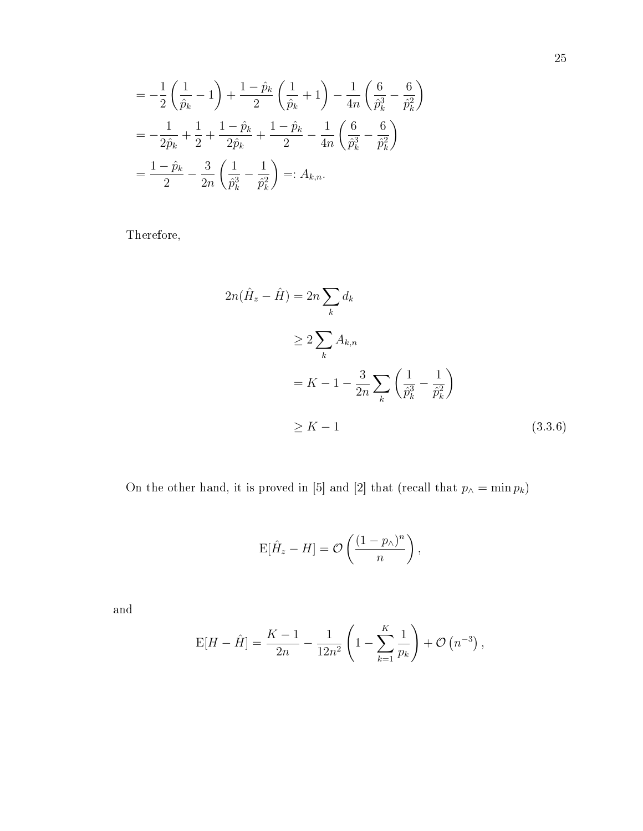$$
= -\frac{1}{2} \left( \frac{1}{\hat{p}_k} - 1 \right) + \frac{1 - \hat{p}_k}{2} \left( \frac{1}{\hat{p}_k} + 1 \right) - \frac{1}{4n} \left( \frac{6}{\hat{p}_k^3} - \frac{6}{\hat{p}_k^2} \right)
$$
  

$$
= -\frac{1}{2\hat{p}_k} + \frac{1}{2} + \frac{1 - \hat{p}_k}{2\hat{p}_k} + \frac{1 - \hat{p}_k}{2} - \frac{1}{4n} \left( \frac{6}{\hat{p}_k^3} - \frac{6}{\hat{p}_k^2} \right)
$$
  

$$
= \frac{1 - \hat{p}_k}{2} - \frac{3}{2n} \left( \frac{1}{\hat{p}_k^3} - \frac{1}{\hat{p}_k^2} \right) =: A_{k,n}.
$$

Therefore,

$$
2n(\hat{H}_z - \hat{H}) = 2n \sum_{k} d_k
$$
  
\n
$$
\geq 2 \sum_{k} A_{k,n}
$$
  
\n
$$
= K - 1 - \frac{3}{2n} \sum_{k} \left( \frac{1}{\hat{p}_k^3} - \frac{1}{\hat{p}_k^2} \right)
$$
  
\n
$$
\geq K - 1
$$
 (3.3.6)

On the other hand, it is proved in [5] and [2] that (recall that  $p_{\wedge} = \min p_k$ )

$$
\mathrm{E}[\hat{H}_z - H] = \mathcal{O}\left(\frac{(1 - p_\wedge)^n}{n}\right),
$$

and

$$
E[H - \hat{H}] = \frac{K - 1}{2n} - \frac{1}{12n^2} \left( 1 - \sum_{k=1}^{K} \frac{1}{p_k} \right) + \mathcal{O}(n^{-3}),
$$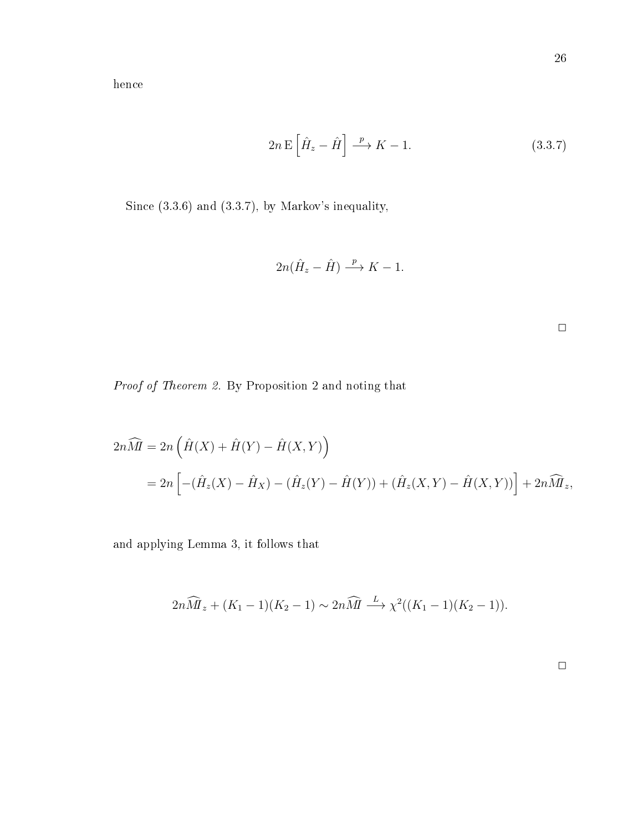$$
2n \mathbf{E} \left[ \hat{H}_z - \hat{H} \right] \xrightarrow{p} K - 1. \tag{3.3.7}
$$

Since (3.3.6) and (3.3.7), by Markov's inequality,

$$
2n(\hat{H}_z - \hat{H}) \stackrel{p}{\longrightarrow} K - 1.
$$

 $\Box$ 

Proof of Theorem 2. By Proposition 2 and noting that

$$
2n\widehat{M} = 2n \left( \hat{H}(X) + \hat{H}(Y) - \hat{H}(X, Y) \right)
$$
  
= 
$$
2n \left[ -(\hat{H}_z(X) - \hat{H}_X) - (\hat{H}_z(Y) - \hat{H}(Y)) + (\hat{H}_z(X, Y) - \hat{H}(X, Y)) \right] + 2n\widehat{M}_z,
$$

and applying Lemma 3, it follows that

$$
2n\widehat{M}_z + (K_1 - 1)(K_2 - 1) \sim 2n\widehat{M} \stackrel{L}{\longrightarrow} \chi^2((K_1 - 1)(K_2 - 1)).
$$

 $\Box$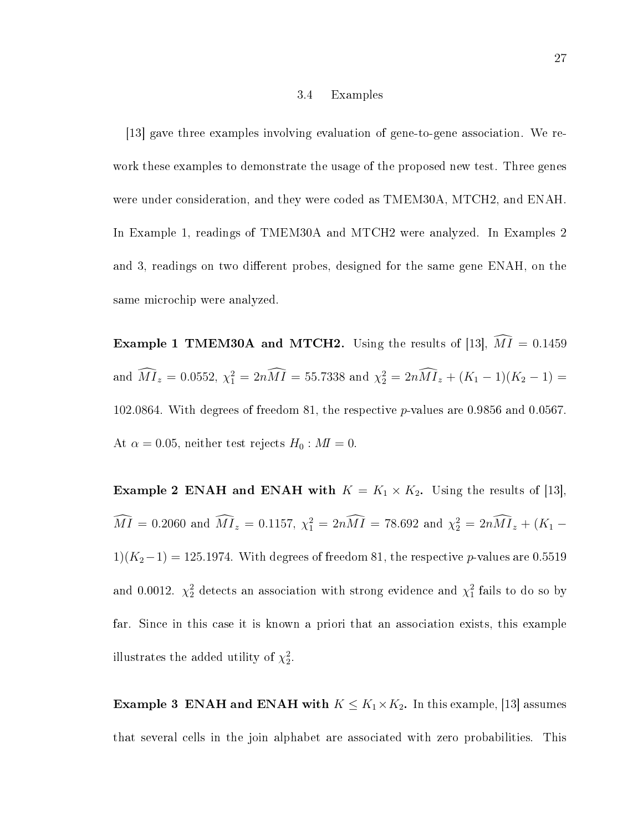#### 3.4 Examples

[13] gave three examples involving evaluation of gene-to-gene association. We rework these examples to demonstrate the usage of the proposed new test. Three genes were under consideration, and they were coded as TMEM30A, MTCH2, and ENAH. In Example 1, readings of TMEM30A and MTCH2 were analyzed. In Examples 2 and 3, readings on two different probes, designed for the same gene ENAH, on the same microchip were analyzed.

**Example 1 TMEM30A and MTCH2.** Using the results of [13],  $\widehat{M1} = 0.1459$ and  $\widehat{M}I_z = 0.0552$ ,  $\chi_1^2 = 2n\widehat{M}\widehat{I} = 55.7338$  and  $\chi_2^2 = 2n\widehat{M}\widehat{I}_z + (K_1 - 1)(K_2 - 1) =$ 102.0864. With degrees of freedom 81, the respective p-values are 0.9856 and 0.0567. At  $\alpha = 0.05$ , neither test rejects  $H_0 : M I = 0$ .

**Example 2 ENAH and ENAH with**  $K = K_1 \times K_2$ . Using the results of [13],  $\hat{M}\hat{I} = 0.2060$  and  $\hat{M}\hat{I}_z = 0.1157$ ,  $\chi_1^2 = 2n\hat{M}\hat{I} = 78.692$  and  $\chi_2^2 = 2n\hat{M}\hat{I}_z + (K_1 1)(K_2-1) = 125.1974$ . With degrees of freedom 81, the respective p-values are 0.5519 and 0.0012.  $\chi^2_2$  detects an association with strong evidence and  $\chi^2_1$  fails to do so by far. Since in this case it is known a priori that an association exists, this example illustrates the added utility of  $\chi^2_2$ .

**Example 3 ENAH and ENAH with**  $K \leq K_1 \times K_2$ . In this example, [13] assumes that several cells in the join alphabet are associated with zero probabilities. This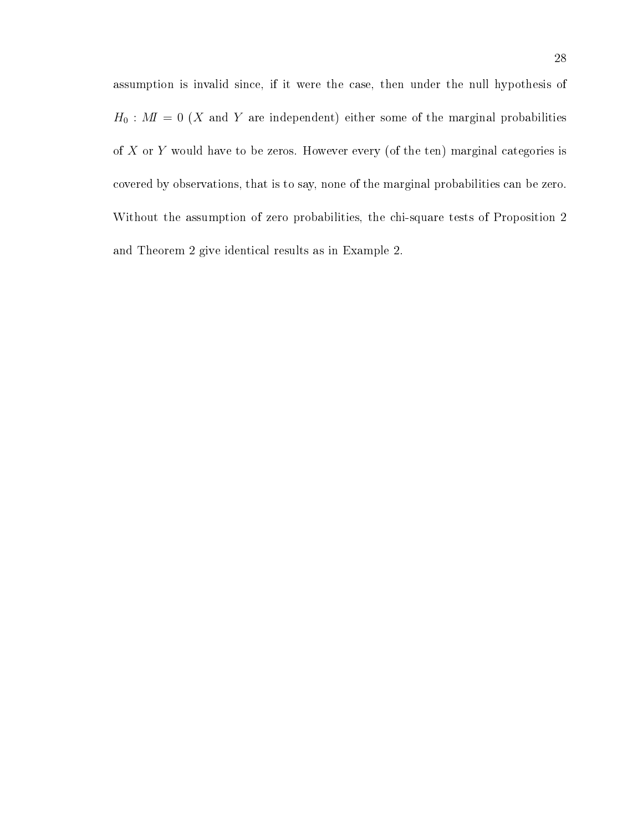assumption is invalid since, if it were the case, then under the null hypothesis of  $H_0$ :  $M\!\!I = 0$  (X and Y are independent) either some of the marginal probabilities of X or Y would have to be zeros. However every (of the ten) marginal categories is covered by observations, that is to say, none of the marginal probabilities can be zero. Without the assumption of zero probabilities, the chi-square tests of Proposition 2 and Theorem 2 give identical results as in Example 2.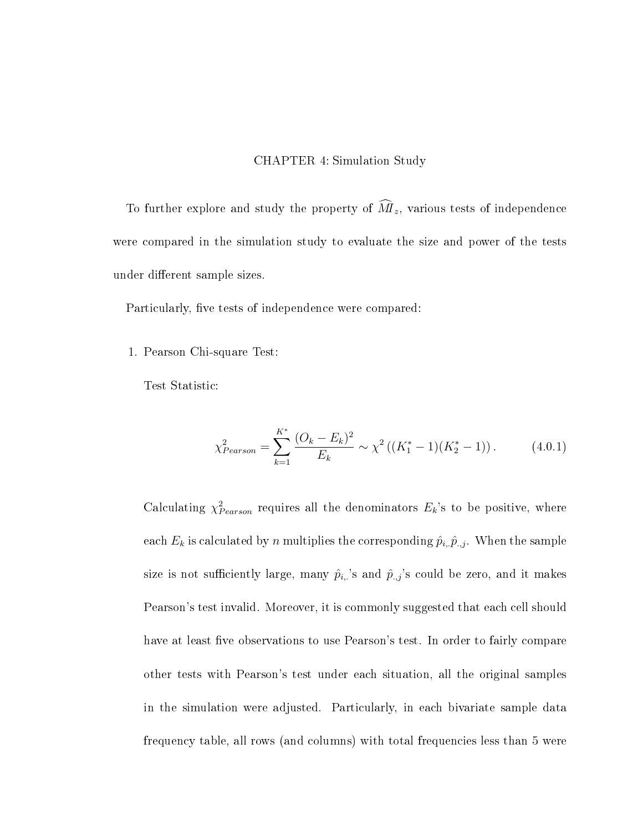### CHAPTER 4: Simulation Study

To further explore and study the property of  $\widehat{M}_z$ , various tests of independence were compared in the simulation study to evaluate the size and power of the tests under different sample sizes.

Particularly, five tests of independence were compared:

1. Pearson Chi-square Test:

Test Statistic:

$$
\chi_{Pearson}^2 = \sum_{k=1}^{K^*} \frac{(O_k - E_k)^2}{E_k} \sim \chi^2 \left( (K_1^* - 1)(K_2^* - 1) \right). \tag{4.0.1}
$$

Calculating  $\chi^2_{Pearson}$  requires all the denominators  $E_k$ 's to be positive, where each  $E_k$  is calculated by n multiplies the corresponding  $\hat{p}_{i, \cdot} \hat{p}_{\cdot, j}$ . When the sample size is not sufficiently large, many  $\hat{p}_{i,:}$ 's and  $\hat{p}_{.,j}$ 's could be zero, and it makes Pearson's test invalid. Moreover, it is commonly suggested that each cell should have at least five observations to use Pearson's test. In order to fairly compare other tests with Pearson's test under each situation, all the original samples in the simulation were adjusted. Particularly, in each bivariate sample data frequency table, all rows (and columns) with total frequencies less than 5 were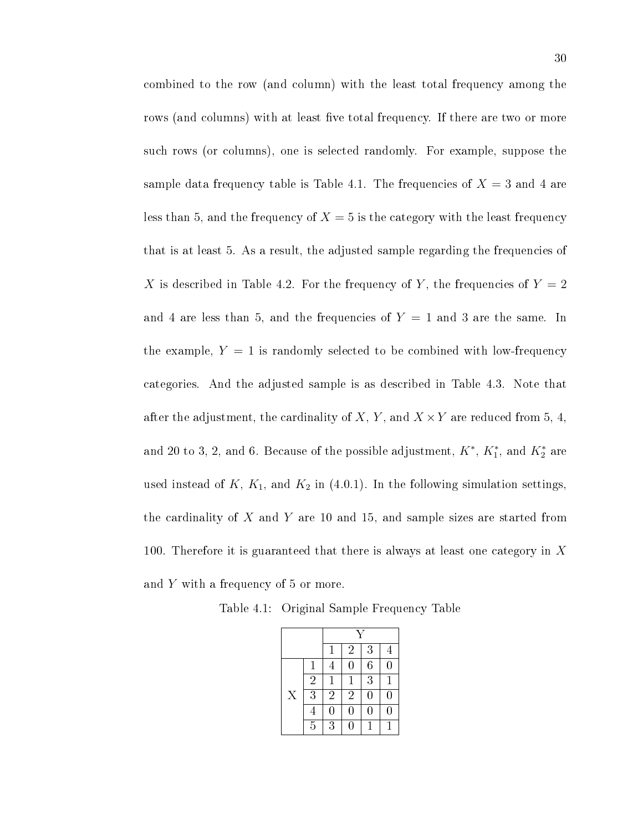combined to the row (and column) with the least total frequency among the rows (and columns) with at least five total frequency. If there are two or more such rows (or columns), one is selected randomly. For example, suppose the sample data frequency table is Table 4.1. The frequencies of  $X = 3$  and 4 are less than 5, and the frequency of  $X = 5$  is the category with the least frequency that is at least 5. As a result, the adjusted sample regarding the frequencies of X is described in Table 4.2. For the frequency of Y, the frequencies of  $Y = 2$ and 4 are less than 5, and the frequencies of  $Y = 1$  and 3 are the same. In the example,  $Y = 1$  is randomly selected to be combined with low-frequency categories. And the adjusted sample is as described in Table 4.3. Note that after the adjustment, the cardinality of X, Y, and  $X \times Y$  are reduced from 5, 4, and 20 to 3, 2, and 6. Because of the possible adjustment,  $K^*, K_1^*,$  and  $K_2^*$  are used instead of  $K$ ,  $K_1$ , and  $K_2$  in (4.0.1). In the following simulation settings, the cardinality of  $X$  and  $Y$  are 10 and 15, and sample sizes are started from 100. Therefore it is guaranteed that there is always at least one category in  $X$ and Y with a frequency of 5 or more.

Table 4.1: Original Sample Frequency Table

|   |                | 1              | $\overline{2}$ | 3              | 4              |
|---|----------------|----------------|----------------|----------------|----------------|
|   |                | 4              | 0              | $\overline{6}$ | $\overline{0}$ |
|   | $\overline{2}$ | $\mathbf 1$    | $\mathbf 1$    | $\overline{3}$ | $\mathbf 1$    |
| X | $\overline{3}$ | $\overline{2}$ | $\overline{2}$ | $\overline{0}$ | $\overline{0}$ |
|   | $\overline{4}$ | 0              | 0              | 0              | $\overline{0}$ |
|   | $\overline{5}$ | $\overline{3}$ | 0              | 1              | 1              |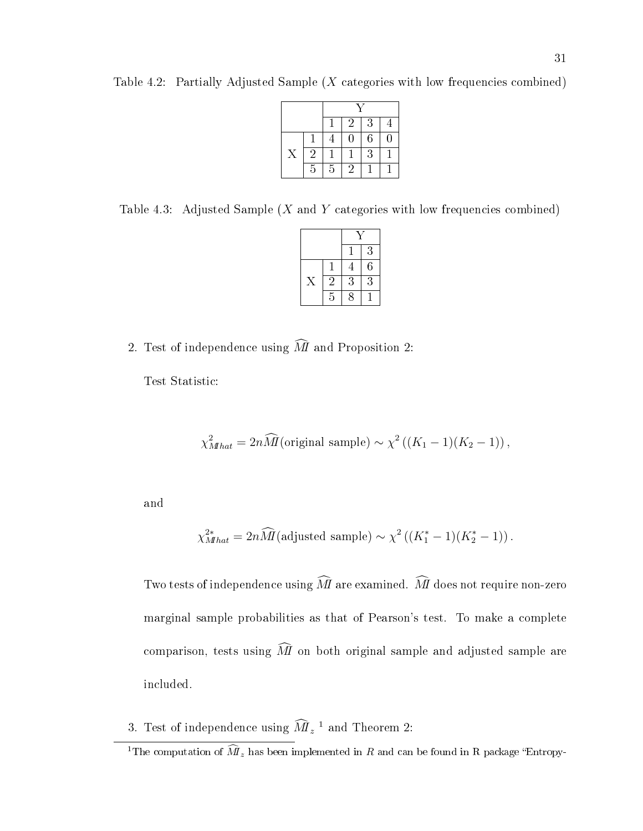|   |                |                | $\overline{2}$ | 3              | 4 |
|---|----------------|----------------|----------------|----------------|---|
|   |                |                | 0              | $\sqrt{6}$     | 0 |
| Χ | $\overline{2}$ |                |                | $\overline{3}$ |   |
|   | 5              | $\overline{5}$ | 2              |                |   |

Table 4.2: Partially Adjusted Sample  $(X$  categories with low frequencies combined)

Table 4.3: Adjusted Sample  $(X \text{ and } Y \text{ categories with low frequencies combined})$ 

|                |   | 3              |  |
|----------------|---|----------------|--|
|                | 4 | $\overline{6}$ |  |
| $\overline{2}$ | 3 | $\overline{3}$ |  |
| $\overline{5}$ | 8 |                |  |

2. Test of independence using  $\widehat{M}$  and Proposition 2:

Test Statistic:

$$
\chi^2_{Mhat} = 2n\widehat{M}(\text{original sample}) \sim \chi^2((K_1 - 1)(K_2 - 1)),
$$

and

$$
\chi^{2*}_{Mhat} = 2n\widehat{M}(\text{adjusted sample}) \sim \chi^2((K_1^*-1)(K_2^*-1)).
$$

Two tests of independence using  $\widehat{M}$  are examined.  $\widehat{M}$  does not require non-zero marginal sample probabilities as that of Pearson's test. To make a complete comparison, tests using  $\widehat{M}$  on both original sample and adjusted sample are included.

3. Test of independence using  $\widehat{M}_{z}$ <sup>1</sup> and Theorem 2:

<sup>&</sup>lt;sup>1</sup>The computation of  $\widehat{M}_z$  has been implemented in R and can be found in R package "Entropy-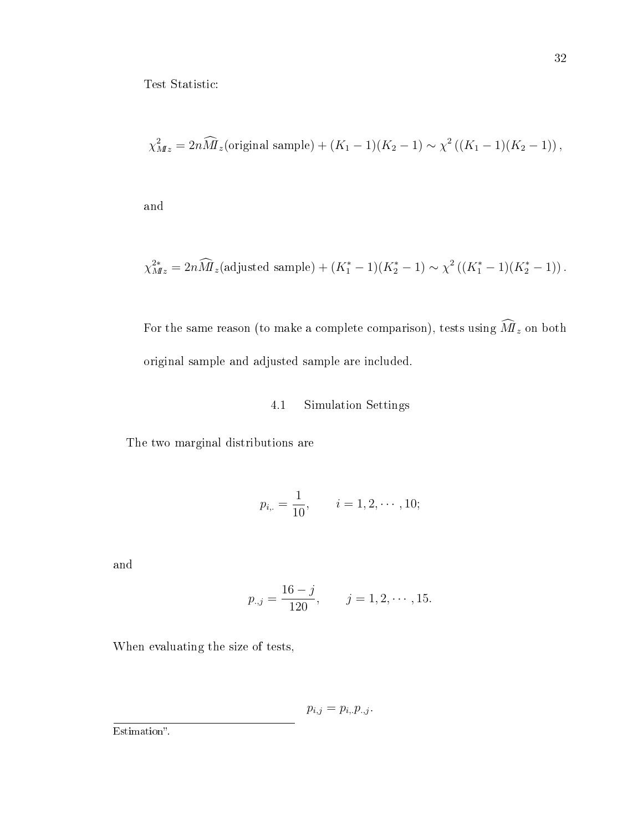Test Statistic:

$$
\chi^2_{Mz} = 2n\widehat{M}_z(\text{original sample}) + (K_1 - 1)(K_2 - 1) \sim \chi^2((K_1 - 1)(K_2 - 1)),
$$

and

$$
\chi^{2*}_{Mz} = 2n\widehat{M}_z \text{(adjusted sample)} + (K_1^* - 1)(K_2^* - 1) \sim \chi^2 \left( (K_1^* - 1)(K_2^* - 1) \right).
$$

For the same reason (to make a complete comparison), tests using  $\widehat{M\mathstrut}_{z}$  on both original sample and adjusted sample are included.

### 4.1 Simulation Settings

The two marginal distributions are

$$
p_{i,.} = \frac{1}{10}, \qquad i = 1, 2, \cdots, 10;
$$

and

$$
p_{.,j} = \frac{16 - j}{120}, \qquad j = 1, 2, \cdots, 15.
$$

When evaluating the size of tests,

 $p_{i,j} = p_{i,.} p_{.,j}.$ 

Estimation".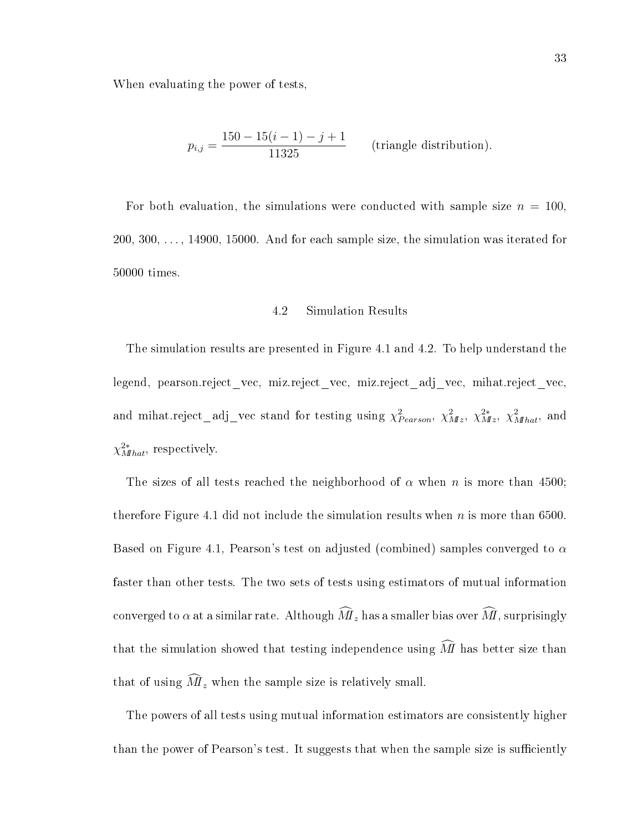When evaluating the power of tests,

$$
p_{i,j} = \frac{150 - 15(i - 1) - j + 1}{11325}
$$
 (triangle distribution).

For both evaluation, the simulations were conducted with sample size  $n = 100$ , 200, 300, . . . , 14900, 15000. And for each sample size, the simulation was iterated for 50000 times.

#### 4.2 Simulation Results

The simulation results are presented in Figure 4.1 and 4.2. To help understand the legend, pearson.reject\_vec, miz.reject\_vec, miz.reject\_adj\_vec, mihat.reject\_vec, and mihat.reject\_adj\_vec stand for testing using  $\chi^2_{Pearson}$ ,  $\chi^2_{Mz}$ ,  $\chi^2_{Mz}$ ,  $\chi^2_{Mhat}$ , and  $\chi^{2*}_{Mhat}$ , respectively.

The sizes of all tests reached the neighborhood of  $\alpha$  when n is more than 4500; therefore Figure 4.1 did not include the simulation results when  $n$  is more than 6500. Based on Figure 4.1, Pearson's test on adjusted (combined) samples converged to  $\alpha$ faster than other tests. The two sets of tests using estimators of mutual information converged to  $\alpha$  at a similar rate. Although  $\widehat{M}_{z}$  has a smaller bias over  $\widehat{M}$ , surprisingly that the simulation showed that testing independence using  $\widehat{M}$  has better size than that of using  $\widehat{M}_z$  when the sample size is relatively small.

The powers of all tests using mutual information estimators are consistently higher than the power of Pearson's test. It suggests that when the sample size is sufficiently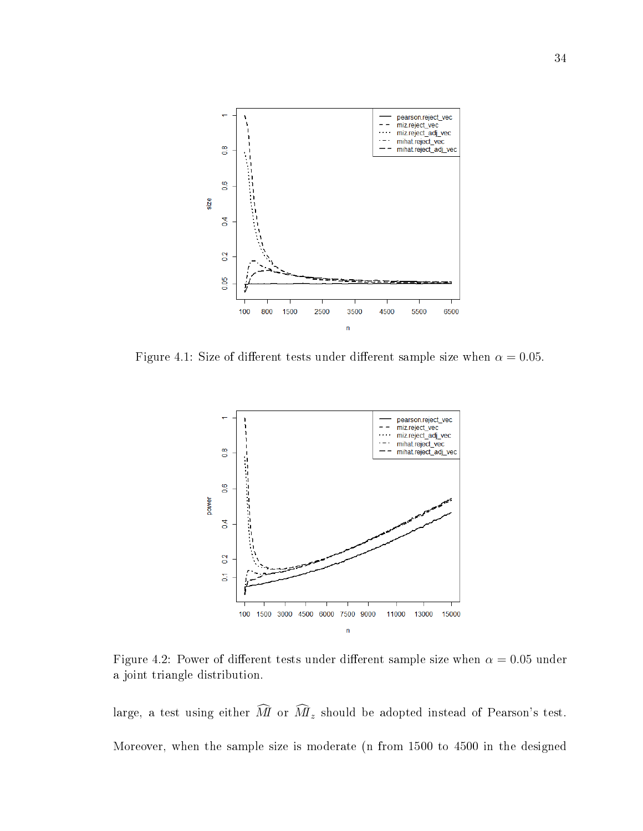

Figure 4.1: Size of different tests under different sample size when  $\alpha = 0.05$ .



Figure 4.2: Power of different tests under different sample size when  $\alpha = 0.05$  under a joint triangle distribution.

large, a test using either  $\widehat{M}$  or  $\widehat{M}_z$  should be adopted instead of Pearson's test. Moreover, when the sample size is moderate (n from 1500 to 4500 in the designed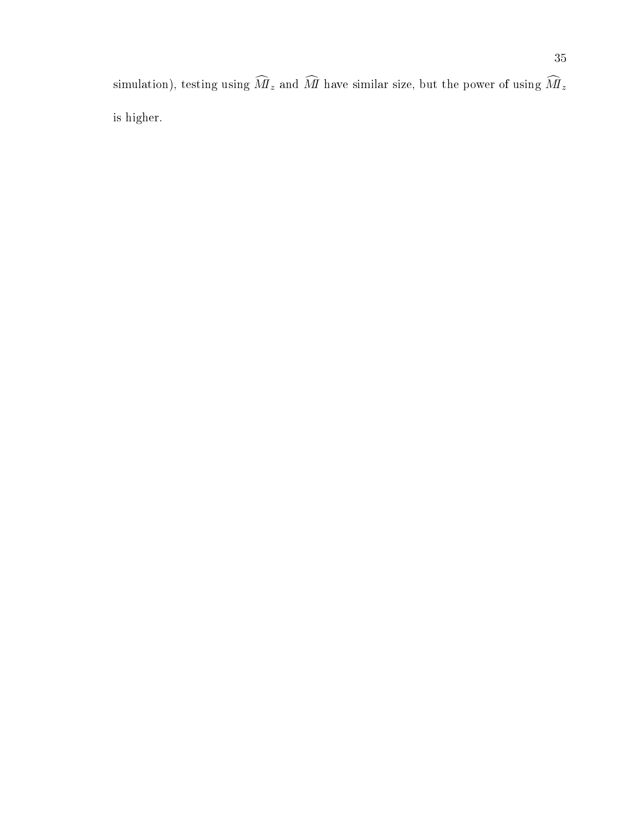simulation), testing using  $\widehat{M}_z$  and  $\widehat{M}$  have similar size, but the power of using  $\widehat{M}_z$ is higher.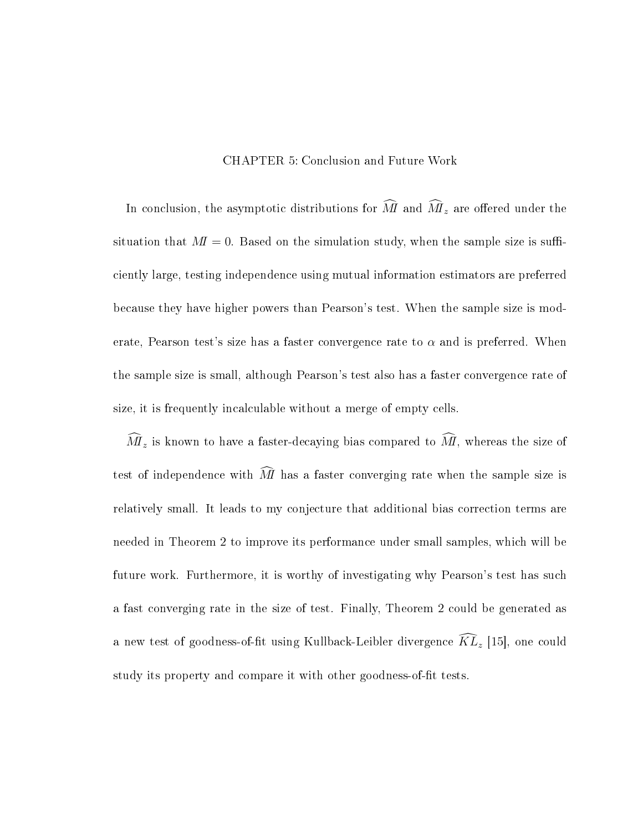CHAPTER 5: Conclusion and Future Work

In conclusion, the asymptotic distributions for  $\widehat{M}$  and  $\widehat{M}_z$  are offered under the situation that  $M = 0$ . Based on the simulation study, when the sample size is sufficiently large, testing independence using mutual information estimators are preferred because they have higher powers than Pearson's test. When the sample size is moderate, Pearson test's size has a faster convergence rate to  $\alpha$  and is preferred. When the sample size is small, although Pearson's test also has a faster convergence rate of size, it is frequently incalculable without a merge of empty cells.

 $\widehat{M}_z$  is known to have a faster-decaying bias compared to  $\widehat{M}$ , whereas the size of test of independence with  $\widehat{M}$  has a faster converging rate when the sample size is relatively small. It leads to my conjecture that additional bias correction terms are needed in Theorem 2 to improve its performance under small samples, which will be future work. Furthermore, it is worthy of investigating why Pearson's test has such a fast converging rate in the size of test. Finally, Theorem 2 could be generated as a new test of goodness-of-fit using Kullback-Leibler divergence  $\widehat{KL}_z$  [15], one could study its property and compare it with other goodness-of-fit tests.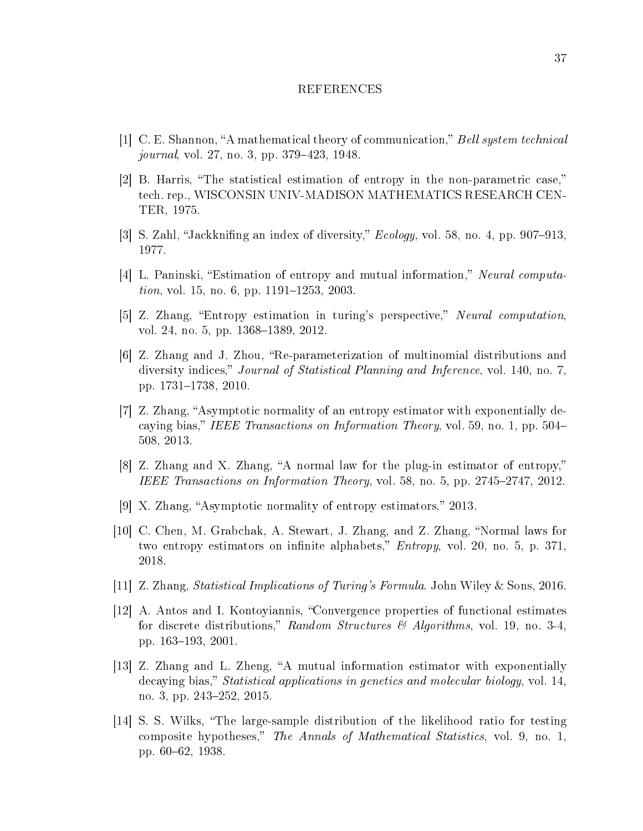#### REFERENCES

- [1] C. E. Shannon, "A mathematical theory of communication," Bell system technical journal, vol. 27, no. 3, pp. 379–423, 1948.
- $|2|$  B. Harris, "The statistical estimation of entropy in the non-parametric case," tech. rep., WISCONSIN UNIV-MADISON MATHEMATICS RESEARCH CEN-TER, 1975.
- [3] S. Zahl, "Jackknifing an index of diversity,"  $Ecology$ , vol. 58, no. 4, pp. 907–913, 1977.
- [4] L. Paninski, "Estimation of entropy and mutual information," Neural computa*tion*, vol. 15, no. 6, pp.  $1191-1253$ ,  $2003$ .
- [5] Z. Zhang, "Entropy estimation in turing's perspective," Neural computation, vol. 24, no. 5, pp. 1368–1389, 2012.
- [6] Z. Zhang and J. Zhou, Re-parameterization of multinomial distributions and diversity indices," *Journal of Statistical Planning and Inference*, vol. 140, no. 7, pp. 1731–1738, 2010.
- $|7|$  Z. Zhang, "Asymptotic normality of an entropy estimator with exponentially decaying bias," IEEE Transactions on Information Theory, vol. 59, no. 1, pp. 504– 508, 2013.
- $[8]$  Z. Zhang and X. Zhang, "A normal law for the plug-in estimator of entropy," IEEE Transactions on Information Theory, vol. 58, no. 5, pp.  $2745-2747$ ,  $2012$ .
- $[9]$  X. Zhang, "Asymptotic normality of entropy estimators," 2013.
- [10] C. Chen, M. Grabchak, A. Stewart, J. Zhang, and Z. Zhang, "Normal laws for two entropy estimators on infinite alphabets,"  $Entropy$ , vol. 20, no. 5, p. 371, 2018.
- [11] Z. Zhang, Statistical Implications of Turing's Formula. John Wiley & Sons, 2016.
- [12] A. Antos and I. Kontoyiannis, Convergence properties of functional estimates for discrete distributions," Random Structures  $\mathcal{B}$  Algorithms, vol. 19, no. 3-4, pp. 163–193, 2001.
- [13] Z. Zhang and L. Zheng, "A mutual information estimator with exponentially decaying bias," *Statistical applications in genetics and molecular biology*, vol. 14, no. 3, pp. 243–252, 2015.
- [14] S. S. Wilks, The large-sample distribution of the likelihood ratio for testing composite hypotheses," The Annals of Mathematical Statistics, vol. 9, no. 1, pp. 60–62, 1938.